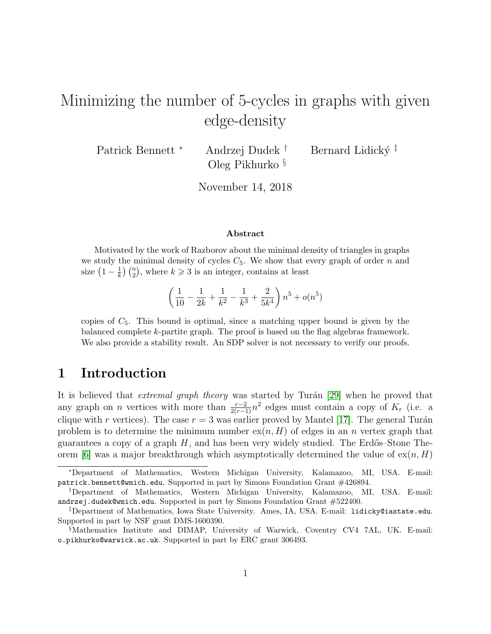# Minimizing the number of 5-cycles in graphs with given edge-density

Patrick Bennett <sup>∗</sup> Andrzej Dudek <sup>†</sup> Bernard Lidický <sup>‡</sup> Oleg Pikhurko §

November 14, 2018

#### Abstract

Motivated by the work of Razborov about the minimal density of triangles in graphs we study the minimal density of cycles  $C_5$ . We show that every graph of order n and size  $\left(1-\frac{1}{k}\right)$  $\frac{1}{k}$   $\binom{n}{2}$ , where  $k \geq 3$  is an integer, contains at least

$$
\left(\frac{1}{10} - \frac{1}{2k} + \frac{1}{k^2} - \frac{1}{k^3} + \frac{2}{5k^4}\right)n^5 + o(n^5)
$$

copies of  $C_5$ . This bound is optimal, since a matching upper bound is given by the balanced complete k-partite graph. The proof is based on the flag algebras framework. We also provide a stability result. An SDP solver is not necessary to verify our proofs.

# 1 Introduction

It is believed that *extremal graph theory* was started by Turán [\[29\]](#page-24-0) when he proved that any graph on *n* vertices with more than  $\frac{r-2}{2(r-1)}n^2$  edges must contain a copy of  $K_r$  (i.e. a clique with r vertices). The case  $r = 3$  was earlier proved by Mantel [\[17\]](#page-23-0). The general Turán problem is to determine the minimum number  $ex(n, H)$  of edges in an n vertex graph that guarantees a copy of a graph  $H$ , and has been very widely studied. The Erdős–Stone The-orem [\[6\]](#page-23-1) was a major breakthrough which asymptotically determined the value of  $ex(n, H)$ 

<sup>∗</sup>Department of Mathematics, Western Michigan University, Kalamazoo, MI, USA. E-mail: patrick.bennett@wmich.edu. Supported in part by Simons Foundation Grant #426894.

<sup>†</sup>Department of Mathematics, Western Michigan University, Kalamazoo, MI, USA. E-mail: andrzej.dudek@wmich.edu. Supported in part by Simons Foundation Grant #522400.

<sup>‡</sup>Department of Mathematics, Iowa State University. Ames, IA, USA. E-mail: lidicky@iastate.edu. Supported in part by NSF grant DMS-1600390.

<sup>§</sup>Mathematics Institute and DIMAP, University of Warwick, Coventry CV4 7AL, UK. E-mail: o.pikhurko@warwick.ac.uk. Supported in part by ERC grant 306493.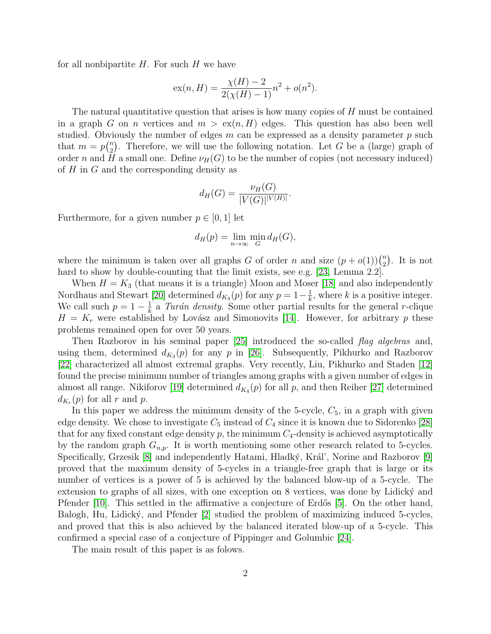for all nonbipartite  $H$ . For such  $H$  we have

$$
ex(n, H) = \frac{\chi(H) - 2}{2(\chi(H) - 1)}n^{2} + o(n^{2}).
$$

The natural quantitative question that arises is how many copies of H must be contained in a graph G on n vertices and  $m > \alpha(n, H)$  edges. This question has also been well studied. Obviously the number of edges  $m$  can be expressed as a density parameter  $p$  such that  $m = p \binom{n}{2}$  $n_2$ ). Therefore, we will use the following notation. Let G be a (large) graph of order n and H a small one. Define  $\nu_H(G)$  to be the number of copies (not necessary induced) of  $H$  in  $G$  and the corresponding density as

$$
d_H(G) = \frac{\nu_H(G)}{|V(G)|^{|V(H)|}}.
$$

Furthermore, for a given number  $p \in [0, 1]$  let

$$
d_H(p) = \lim_{n \to \infty} \min_G d_H(G),
$$

where the minimum is taken over all graphs G of order n and size  $(p+o(1))\binom{n}{2}$  $n \choose 2$ . It is not hard to show by double-counting that the limit exists, see e.g. [\[23,](#page-24-1) Lemma 2.2].

When  $H = K_3$  (that means it is a triangle) Moon and Moser [\[18\]](#page-23-2) and also independently Nordhaus and Stewart [\[20\]](#page-23-3) determined  $d_{K_3}(p)$  for any  $p = 1 - \frac{1}{k}$  $\frac{1}{k}$ , where k is a positive integer. We call such  $p=1-\frac{1}{k}$  $\frac{1}{k}$  a Turán density. Some other partial results for the general r-clique  $H = K_r$  were established by Lovász and Simonovits [\[14\]](#page-23-4). However, for arbitrary p these problems remained open for over 50 years.

Then Razborov in his seminal paper [\[25\]](#page-24-2) introduced the so-called *flag algebras* and, using them, determined  $d_{K_3}(p)$  for any p in [\[26\]](#page-24-3). Subsequently, Pikhurko and Razborov [\[22\]](#page-24-4) characterized all almost extremal graphs. Very recently, Liu, Pikhurko and Staden [\[12\]](#page-23-5) found the precise minimum number of triangles among graphs with a given number of edges in almost all range. Nikiforov [\[19\]](#page-23-6) determined  $d_{K_4}(p)$  for all p, and then Reiher [\[27\]](#page-24-5) determined  $d_{K_r}(p)$  for all r and p.

In this paper we address the minimum density of the 5-cycle,  $C_5$ , in a graph with given edge density. We chose to investigate  $C_5$  instead of  $C_4$  since it is known due to Sidorenko [\[28\]](#page-24-6) that for any fixed constant edge density p, the minimum  $C_4$ -density is achieved asymptotically by the random graph  $G_{n,p}$ . It is worth mentioning some other research related to 5-cycles. Specifically, Grzesik [\[8\]](#page-23-7) and independently Hatami, Hladký, Král', Norine and Razborov [\[9\]](#page-23-8) proved that the maximum density of 5-cycles in a triangle-free graph that is large or its number of vertices is a power of 5 is achieved by the balanced blow-up of a 5-cycle. The extension to graphs of all sizes, with one exception on  $8$  vertices, was done by Lidicky and Pfender  $[10]$ . This settled in the affirmative a conjecture of Erdős  $[5]$ . On the other hand, Balogh, Hu, Lidický, and Pfender [\[2\]](#page-22-0) studied the problem of maximizing induced 5-cycles, and proved that this is also achieved by the balanced iterated blow-up of a 5-cycle. This confirmed a special case of a conjecture of Pippinger and Golumbic [\[24\]](#page-24-7).

The main result of this paper is as folows.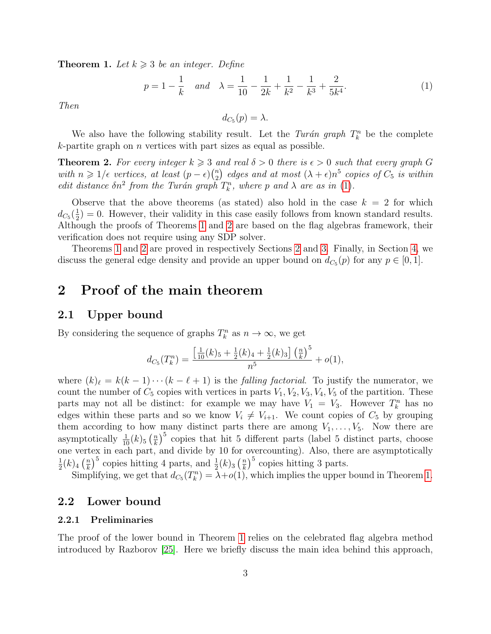<span id="page-2-1"></span>**Theorem 1.** Let  $k \geq 3$  be an integer. Define

<span id="page-2-0"></span>
$$
p = 1 - \frac{1}{k} \quad and \quad \lambda = \frac{1}{10} - \frac{1}{2k} + \frac{1}{k^2} - \frac{1}{k^3} + \frac{2}{5k^4}.
$$
 (1)

Then

$$
d_{C_5}(p) = \lambda.
$$

We also have the following stability result. Let the Turán graph  $T_k^n$  be the complete  $k$ -partite graph on *n* vertices with part sizes as equal as possible.

<span id="page-2-2"></span>**Theorem 2.** For every integer  $k \geq 3$  and real  $\delta > 0$  there is  $\epsilon > 0$  such that every graph G with  $n \geqslant 1/\epsilon$  vertices, at least  $(p-\epsilon)\binom{n}{2}$  $\binom{n}{2}$  edges and at most  $(\lambda + \epsilon)n^5$  copies of  $C_5$  is within edit distance  $\delta n^2$  from the Turán graph  $T_k^n$ , where p and  $\lambda$  are as in [\(1\)](#page-2-0).

Observe that the above theorems (as stated) also hold in the case  $k = 2$  for which  $d_{C_5}(\frac{1}{2}$  $\frac{1}{2}$  = 0. However, their validity in this case easily follows from known standard results. Although the proofs of Theorems [1](#page-2-1) and [2](#page-2-2) are based on the flag algebras framework, their verification does not require using any SDP solver.

Theorems [1](#page-2-1) and [2](#page-2-2) are proved in respectively Sections [2](#page-2-3) and [3.](#page-8-0) Finally, in Section [4,](#page-20-0) we discuss the general edge density and provide an upper bound on  $d_{C_5}(p)$  for any  $p \in [0, 1]$ .

## <span id="page-2-3"></span>2 Proof of the main theorem

### 2.1 Upper bound

By considering the sequence of graphs  $T_k^n$  as  $n \to \infty$ , we get

$$
d_{C_5}(T_k^n) = \frac{\left[\frac{1}{10}(k)_5 + \frac{1}{2}(k)_4 + \frac{1}{2}(k)_3\right] \left(\frac{n}{k}\right)^5}{n^5} + o(1),
$$

where  $(k)_{\ell} = k(k - 1)\cdots(k - \ell + 1)$  is the *falling factorial*. To justify the numerator, we count the number of  $C_5$  copies with vertices in parts  $V_1, V_2, V_3, V_4, V_5$  of the partition. These parts may not all be distinct: for example we may have  $V_1 = V_3$ . However  $T_k^n$  has no edges within these parts and so we know  $V_i \neq V_{i+1}$ . We count copies of  $C_5$  by grouping them according to how many distinct parts there are among  $V_1, \ldots, V_5$ . Now there are asymptotically  $\frac{1}{10}(k)$ <sub>5</sub>  $\left(\frac{n}{k}\right)$  $\frac{n}{k}$ <sup>5</sup> copies that hit 5 different parts (label 5 distinct parts, choose one vertex in each part, and divide by 10 for overcounting). Also, there are asymptotically 1  $\frac{1}{2}(k)_4\left(\frac{n}{k}\right)$  $\frac{n}{k}$ <sup>5</sup> copies hitting 4 parts, and  $\frac{1}{2}(k)_3\left(\frac{n}{k}\right)$  $\left(\frac{n}{k}\right)^5$  copies hitting 3 parts.

Simplifying, we get that  $d_{C_5}(T_k^n) = \lambda + o(1)$ , which implies the upper bound in Theorem [1.](#page-2-1)

### 2.2 Lower bound

#### 2.2.1 Preliminaries

The proof of the lower bound in Theorem [1](#page-2-1) relies on the celebrated flag algebra method introduced by Razborov [\[25\]](#page-24-2). Here we briefly discuss the main idea behind this approach,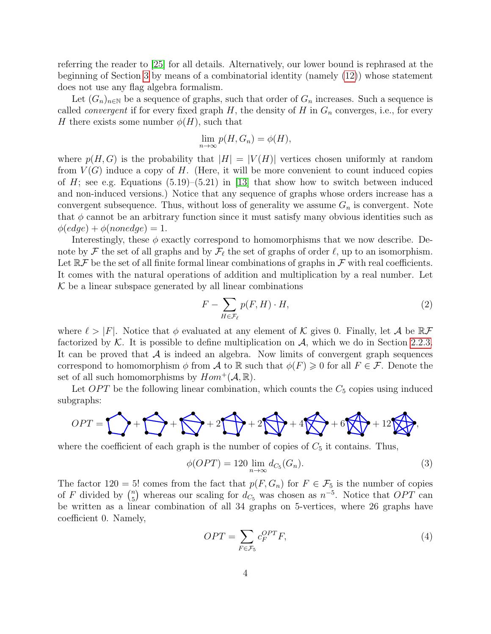referring the reader to [\[25\]](#page-24-2) for all details. Alternatively, our lower bound is rephrased at the beginning of Section [3](#page-8-0) by means of a combinatorial identity (namely [\(12\)](#page-8-1)) whose statement does not use any flag algebra formalism.

Let  $(G_n)_{n\in\mathbb{N}}$  be a sequence of graphs, such that order of  $G_n$  increases. Such a sequence is called *convergent* if for every fixed graph H, the density of H in  $G_n$  converges, i.e., for every H there exists some number  $\phi(H)$ , such that

$$
\lim_{n \to \infty} p(H, G_n) = \phi(H),
$$

where  $p(H, G)$  is the probability that  $|H| = |V(H)|$  vertices chosen uniformly at random from  $V(G)$  induce a copy of H. (Here, it will be more convenient to count induced copies of  $H$ ; see e.g. Equations (5.19)–(5.21) in [\[13\]](#page-23-11) that show how to switch between induced and non-induced versions.) Notice that any sequence of graphs whose orders increase has a convergent subsequence. Thus, without loss of generality we assume  $G_n$  is convergent. Note that  $\phi$  cannot be an arbitrary function since it must satisfy many obvious identities such as  $\phi(edge) + \phi(nonedge) = 1.$ 

Interestingly, these  $\phi$  exactly correspond to homomorphisms that we now describe. Denote by F the set of all graphs and by  $\mathcal{F}_\ell$  the set of graphs of order  $\ell$ , up to an isomorphism. Let  $\mathbb{R} \mathcal{F}$  be the set of all finite formal linear combinations of graphs in  $\mathcal{F}$  with real coefficients. It comes with the natural operations of addition and multiplication by a real number. Let  $K$  be a linear subspace generated by all linear combinations

<span id="page-3-0"></span>
$$
F - \sum_{H \in \mathcal{F}_{\ell}} p(F, H) \cdot H,\tag{2}
$$

where  $\ell > |F|$ . Notice that  $\phi$  evaluated at any element of K gives 0. Finally, let A be  $\mathbb{R} \mathcal{F}$ factorized by  $K$ . It is possible to define multiplication on  $A$ , which we do in Section [2.2.3.](#page-6-0) It can be proved that  $A$  is indeed an algebra. Now limits of convergent graph sequences correspond to homomorphism  $\phi$  from A to R such that  $\phi(F) \geq 0$  for all  $F \in \mathcal{F}$ . Denote the set of all such homomorphisms by  $Hom^+(\mathcal{A}, \mathbb{R})$ .

Let  $OPT$  be the following linear combination, which counts the  $C_5$  copies using induced subgraphs:



where the coefficient of each graph is the number of copies of  $C_5$  it contains. Thus,

<span id="page-3-2"></span>
$$
\phi(OPT) = 120 \lim_{n \to \infty} d_{C_5}(G_n). \tag{3}
$$

The factor 120 = 5! comes from the fact that  $p(F, G_n)$  for  $F \in \mathcal{F}_5$  is the number of copies of F divided by  $\binom{n}{5}$  $n_5$ ) whereas our scaling for  $d_{C_5}$  was chosen as  $n^{-5}$ . Notice that  $OPT$  can be written as a linear combination of all 34 graphs on 5-vertices, where 26 graphs have coefficient 0. Namely,

<span id="page-3-1"></span>
$$
OPT = \sum_{F \in \mathcal{F}_5} c_F^{OPT} F,\tag{4}
$$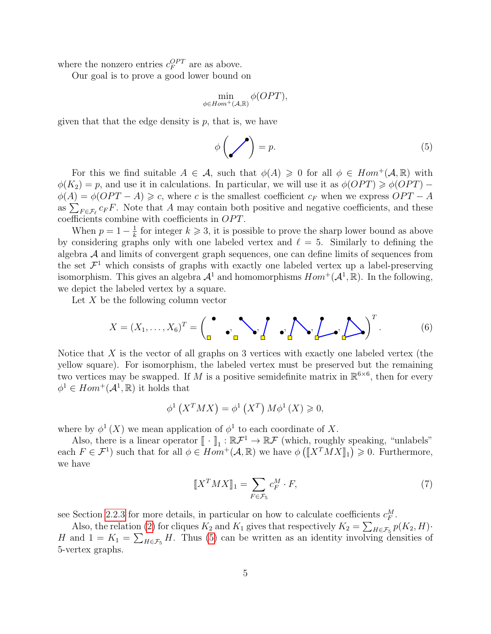where the nonzero entries  $c_F^{OPT}$  are as above.

Our goal is to prove a good lower bound on

$$
\min_{\phi \in Hom^+(\mathcal{A}, \mathbb{R})} \phi(OPT),
$$

given that that the edge density is  $p$ , that is, we have

<span id="page-4-0"></span>
$$
\phi\left(\bigvee\right) = p.\tag{5}
$$

For this we find suitable  $A \in \mathcal{A}$ , such that  $\phi(A) \geq 0$  for all  $\phi \in Hom^+(\mathcal{A}, \mathbb{R})$  with  $\phi(K_2) = p$ , and use it in calculations. In particular, we will use it as  $\phi(OPT) \geq \phi(OPT) \phi(A) = \phi(OPT - A) \geq c$ , where c is the smallest coefficient  $c_F$  when we express  $OPT - A$ as  $\sum_{F \in \mathcal{F}_{\ell}} c_F F$ . Note that A may contain both positive and negative coefficients, and these coefficients combine with coefficients in  $OPT$ .

When  $p=1-\frac{1}{k}$  $\frac{1}{k}$  for integer  $k \geq 3$ , it is possible to prove the sharp lower bound as above by considering graphs only with one labeled vertex and  $\ell = 5$ . Similarly to defining the algebra  $A$  and limits of convergent graph sequences, one can define limits of sequences from the set  $\mathcal{F}^1$  which consists of graphs with exactly one labeled vertex up a label-preserving isomorphism. This gives an algebra  $\mathcal{A}^1$  and homomorphisms  $Hom^+(\mathcal{A}^1,\mathbb{R})$ . In the following, we depict the labeled vertex by a square.

Let  $X$  be the following column vector

<span id="page-4-2"></span>
$$
X = (X_1, \dots, X_6)^T = \begin{pmatrix} \bullet & \bullet \\ \bullet & \bullet \end{pmatrix} \bullet \begin{pmatrix} \bullet & \bullet \\ \bullet & \bullet \end{pmatrix} \bullet \begin{pmatrix} \bullet & \bullet \\ \bullet & \bullet \end{pmatrix} \bullet \begin{pmatrix} \bullet & \bullet \\ \bullet & \bullet \end{pmatrix}^T. \tag{6}
$$

Notice that  $X$  is the vector of all graphs on 3 vertices with exactly one labeled vertex (the yellow square). For isomorphism, the labeled vertex must be preserved but the remaining two vertices may be swapped. If M is a positive semidefinite matrix in  $\mathbb{R}^{6\times6}$ , then for every  $\phi^1 \in Hom^+(\mathcal{A}^1,\mathbb{R})$  it holds that

$$
\phi^1\left(X^T M X\right) = \phi^1\left(X^T\right) M \phi^1\left(X\right) \geqslant 0,
$$

where by  $\phi^1(X)$  we mean application of  $\phi^1$  to each coordinate of X.

Also, there is a linear operator  $[\![\cdot]\!]_1 : \mathbb{R} \mathcal{F}^1 \to \mathbb{R} \mathcal{F}$  (which, roughly speaking, "unlabels"<br>b  $F \subset \mathcal{F}^1$ ) such that for all  $\phi \subset Hom^+(A, \mathbb{R})$  we have  $\phi(\llbracket XY^T M X \rrbracket) > 0$ . Eurthermore, each  $F \in \mathcal{F}^1$  such that for all  $\phi \in Hom^+(\mathcal{A}, \mathbb{R})$  we have  $\phi([X^T M X]_1) \geq 0$ . Furthermore, we have

<span id="page-4-1"></span>
$$
\llbracket X^T M X \rrbracket_1 = \sum_{F \in \mathcal{F}_5} c_F^M \cdot F,\tag{7}
$$

see Section [2.2.3](#page-6-0) for more details, in particular on how to calculate coefficients  $c_F^M$ .

Also, the relation [\(2\)](#page-3-0) for cliques  $K_2$  and  $K_1$  gives that respectively  $K_2 = \sum_{H \in \mathcal{F}_5} p(K_2, H) \cdot$ H and  $1 = K_1 = \sum_{H \in \mathcal{F}_5} H$ . Thus [\(5\)](#page-4-0) can be written as an identity involving densities of 5-vertex graphs.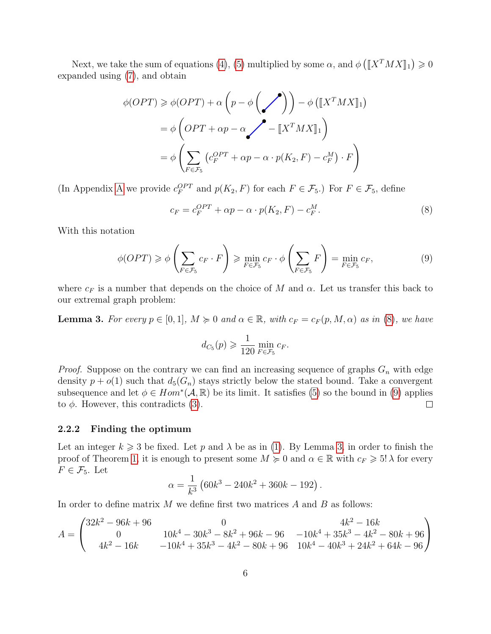Next, we take the sum of equations [\(4\)](#page-3-1), [\(5\)](#page-4-0) multiplied by some  $\alpha$ , and  $\phi\left(\llbracket X^T M X \rrbracket_1\right) \geq 0$ expanded using [\(7\)](#page-4-1), and obtain

$$
\phi(OPT) \geq \phi(OPT) + \alpha \left( p - \phi \left( \bigvee \right) \right) - \phi \left( \llbracket X^T M X \rrbracket_1 \right)
$$

$$
= \phi \left( OPT + \alpha p - \alpha \bigvee \left( \vdash \llbracket X^T M X \rrbracket_1 \right) \right)
$$

$$
= \phi \left( \sum_{F \in \mathcal{F}_5} \left( c_F^{OPT} + \alpha p - \alpha \cdot p(K_2, F) - c_F^M \right) \cdot F \right)
$$

(In [A](#page-25-0)ppendix A we provide  $c_F^{OPT}$  and  $p(K_2, F)$  for each  $F \in \mathcal{F}_5$ .) For  $F \in \mathcal{F}_5$ , define

<span id="page-5-0"></span>
$$
c_F = c_F^{OPT} + \alpha p - \alpha \cdot p(K_2, F) - c_F^M. \tag{8}
$$

With this notation

$$
\phi(OPT) \geq \phi\left(\sum_{F \in \mathcal{F}_5} c_F \cdot F\right) \geq \min_{F \in \mathcal{F}_5} c_F \cdot \phi\left(\sum_{F \in \mathcal{F}_5} F\right) = \min_{F \in \mathcal{F}_5} c_F,\tag{9}
$$

where  $c_F$  is a number that depends on the choice of M and  $\alpha$ . Let us transfer this back to our extremal graph problem:

<span id="page-5-2"></span>**Lemma 3.** For every  $p \in [0, 1]$ ,  $M \ge 0$  and  $\alpha \in \mathbb{R}$ , with  $c_F = c_F(p, M, \alpha)$  as in [\(8\)](#page-5-0), we have

<span id="page-5-1"></span>
$$
d_{C_5}(p) \geqslant \frac{1}{120} \min_{F \in \mathcal{F}_5} c_F.
$$

*Proof.* Suppose on the contrary we can find an increasing sequence of graphs  $G_n$  with edge density  $p + o(1)$  such that  $d_5(G_n)$  stays strictly below the stated bound. Take a convergent subsequence and let  $\phi \in Hom^*(A, \mathbb{R})$  be its limit. It satisfies [\(5\)](#page-4-0) so the bound in [\(9\)](#page-5-1) applies to  $\phi$ . However, this contradicts [\(3\)](#page-3-2).  $\Box$ 

#### <span id="page-5-3"></span>2.2.2 Finding the optimum

Let an integer  $k \geqslant 3$  be fixed. Let p and  $\lambda$  be as in [\(1\)](#page-2-0). By Lemma [3,](#page-5-2) in order to finish the proof of Theorem [1,](#page-2-1) it is enough to present some  $M \geq 0$  and  $\alpha \in \mathbb{R}$  with  $c_F \geq 5! \lambda$  for every  $F \in \mathcal{F}_5$ . Let

$$
\alpha = \frac{1}{k^3} \left( 60k^3 - 240k^2 + 360k - 192 \right).
$$

In order to define matrix  $M$  we define first two matrices  $A$  and  $B$  as follows:

$$
A = \begin{pmatrix} 32k^2 - 96k + 96 & 0 & 4k^2 - 16k \\ 0 & 10k^4 - 30k^3 - 8k^2 + 96k - 96 & -10k^4 + 35k^3 - 4k^2 - 80k + 96 \\ 4k^2 - 16k & -10k^4 + 35k^3 - 4k^2 - 80k + 96 & 10k^4 - 40k^3 + 24k^2 + 64k - 96 \end{pmatrix}
$$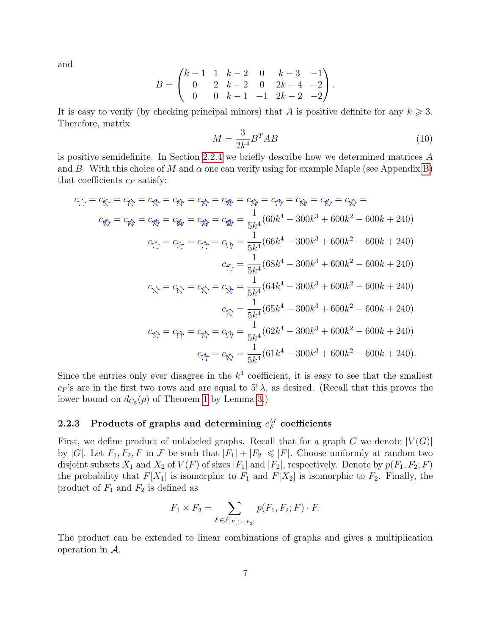and

$$
B = \begin{pmatrix} k-1 & 1 & k-2 & 0 & k-3 & -1 \\ 0 & 2 & k-2 & 0 & 2k-4 & -2 \\ 0 & 0 & k-1 & -1 & 2k-2 & -2 \end{pmatrix}.
$$

It is easy to verify (by checking principal minors) that A is positive definite for any  $k \geqslant 3$ . Therefore, matrix

<span id="page-6-1"></span>
$$
M = \frac{3}{2k^4} B^T A B \tag{10}
$$

is positive semidefinite. In Section [2.2.4](#page-7-0) we briefly describe how we determined matrices A and B. With this choice of M and  $\alpha$  one can verify using for example Maple (see Appendix [B\)](#page-26-0) that coefficients  $c_F$  satisfy:

$$
c_{\hat{1}} = c_{\hat{1}} = c_{\hat{1}} = c_{\hat{1}} = c_{\hat{1}} = c_{\hat{1}} = c_{\hat{1}} = c_{\hat{1}} = c_{\hat{1}} = c_{\hat{1}} = c_{\hat{1}} = c_{\hat{1}} = c_{\hat{1}} = c_{\hat{1}} = c_{\hat{1}} = c_{\hat{1}} = c_{\hat{1}} = c_{\hat{1}} = c_{\hat{1}} = 0
$$
\n
$$
c_{\hat{1}} = c_{\hat{1}} = c_{\hat{1}} = \frac{1}{5k^4}(60k^4 - 300k^3 + 600k^2 - 600k + 240)
$$
\n
$$
c_{\hat{1}} = c_{\hat{1}} = c_{\hat{1}} = \frac{1}{5k^4}(66k^4 - 300k^3 + 600k^2 - 600k + 240)
$$
\n
$$
c_{\hat{1}} = \frac{1}{5k^4}(68k^4 - 300k^3 + 600k^2 - 600k + 240)
$$
\n
$$
c_{\hat{1}} = c_{\hat{1}} = c_{\hat{1}} = c_{\hat{1}} = \frac{1}{5k^4}(64k^4 - 300k^3 + 600k^2 - 600k + 240)
$$
\n
$$
c_{\hat{1}} = \frac{1}{5k^4}(65k^4 - 300k^3 + 600k^2 - 600k + 240)
$$
\n
$$
c_{\hat{1}} = c_{\hat{1}} = c_{\hat{1}} = c_{\hat{1}} = \frac{1}{5k^4}(62k^4 - 300k^3 + 600k^2 - 600k + 240)
$$
\n
$$
c_{\hat{1}} = c_{\hat{1}} = c_{\hat{1}} = \frac{1}{5k^4}(61k^4 - 300k^3 + 600k^2 - 600k + 240).
$$

Since the entries only ever disagree in the  $k^4$  coefficient, it is easy to see that the smallest  $c_F$ 's are in the first two rows and are equal to 5!  $\lambda$ , as desired. (Recall that this proves the lower bound on  $d_{C_5}(p)$  of Theorem [1](#page-2-1) by Lemma [3.](#page-5-2))

## <span id="page-6-0"></span>2.2.3 Products of graphs and determining  $c_F^M$  coefficients

First, we define product of unlabeled graphs. Recall that for a graph G we denote  $|V(G)|$ by |G|. Let  $F_1, F_2, F$  in F be such that  $|F_1| + |F_2| \leq F$ |. Choose uniformly at random two disjoint subsets  $X_1$  and  $X_2$  of  $V(F)$  of sizes  $|F_1|$  and  $|F_2|$ , respectively. Denote by  $p(F_1, F_2; F)$ the probability that  $F[X_1]$  is isomorphic to  $F_1$  and  $F[X_2]$  is isomorphic to  $F_2$ . Finally, the product of  $F_1$  and  $F_2$  is defined as

$$
F_1 \times F_2 = \sum_{F \in \mathcal{F}_{|F_1|+|F_2|}} p(F_1, F_2; F) \cdot F.
$$

The product can be extended to linear combinations of graphs and gives a multiplication operation in A.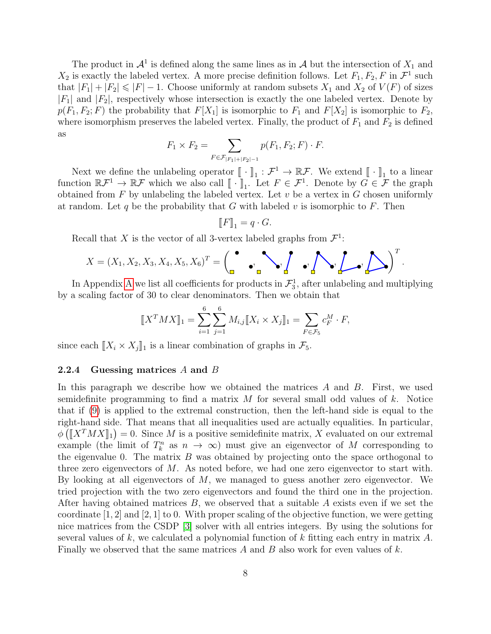The product in  $\mathcal{A}^1$  is defined along the same lines as in  $\mathcal A$  but the intersection of  $X_1$  and  $X_2$  is exactly the labeled vertex. A more precise definition follows. Let  $F_1, F_2, F$  in  $\mathcal{F}^1$  such that  $|F_1| + |F_2| \leq |F| - 1$ . Choose uniformly at random subsets  $X_1$  and  $X_2$  of  $V(F)$  of sizes  $|F_1|$  and  $|F_2|$ , respectively whose intersection is exactly the one labeled vertex. Denote by  $p(F_1, F_2; F)$  the probability that  $F[X_1]$  is isomorphic to  $F_1$  and  $F[X_2]$  is isomorphic to  $F_2$ , where isomorphism preserves the labeled vertex. Finally, the product of  $F_1$  and  $F_2$  is defined as

$$
F_1 \times F_2 = \sum_{F \in \mathcal{F}_{|F_1|+|F_2|-1}} p(F_1, F_2; F) \cdot F.
$$

Next we define the unlabeling operator  $[\![\cdot]\!]_1 : \mathcal{F}^1 \to \mathbb{R}\mathcal{F}$ . We extend  $[\![\cdot]\!]_1$  to a linear stion  $\mathbb{R}\mathcal{F}^1 \to \mathbb{R}\mathcal{F}$  which we also sall  $[\![\cdot]\!]_1$  . Let  $F \subset \mathcal{F}^1$ . Denote by  $C \subset \mathcal{F}$  the gra function  $\mathbb{R}\mathcal{F}^1 \to \mathbb{R}\mathcal{F}$  which we also call  $[\![\cdot]\!]_1$ . Let  $F \in \mathcal{F}^1$ . Denote by  $G \in \mathcal{F}$  the graph obtained from  $F$  by unlabeling the labeled vertex. Let u be a vertex in  $G$  chasen uniformly obtained from  $F$  by unlabeling the labeled vertex. Let  $v$  be a vertex in  $G$  chosen uniformly at random. Let q be the probability that G with labeled v is isomorphic to F. Then

$$
\llbracket F \rrbracket_1 = q \cdot G.
$$

Recall that X is the vector of all 3-vertex labeled graphs from  $\mathcal{F}^1$ :

$$
X = (X_1, X_2, X_3, X_4, X_5, X_6)^T = \begin{pmatrix} \bullet & & \\ & \bullet \\ & & \bullet \end{pmatrix} \bullet \begin{pmatrix} \bullet & & \\ & \bullet \\ & & \bullet \end{pmatrix}^T.
$$

 $\tau$ 

In [A](#page-25-0)ppendix A we list all coefficients for products in  $\mathcal{F}_3^1$ , after unlabeling and multiplying by a scaling factor of 30 to clear denominators. Then we obtain that

$$
[\![X^T M X]\!]_1 = \sum_{i=1}^6 \sum_{j=1}^6 M_{i,j} [\![X_i \times X_j]\!]_1 = \sum_{F \in \mathcal{F}_5} c_F^M \cdot F,
$$

since each  $\|X_i \times X_j\|_1$  is a linear combination of graphs in  $\mathcal{F}_5$ .

#### <span id="page-7-0"></span>2.2.4 Guessing matrices A and B

In this paragraph we describe how we obtained the matrices  $A$  and  $B$ . First, we used semidefinite programming to find a matrix  $M$  for several small odd values of k. Notice that if [\(9\)](#page-5-1) is applied to the extremal construction, then the left-hand side is equal to the right-hand side. That means that all inequalities used are actually equalities. In particular,  $\phi\left(\llbracket X^T M X \rrbracket_1\right) = 0$ . Since M is a positive semidefinite matrix, X evaluated on our extremal<br>example (the limit of  $T^n$  as  $n \to \infty$ ) must give an eigenvector of M expressorbing to example (the limit of  $T_k^n$  as  $n \to \infty$ ) must give an eigenvector of M corresponding to the eigenvalue 0. The matrix  $B$  was obtained by projecting onto the space orthogonal to three zero eigenvectors of M. As noted before, we had one zero eigenvector to start with. By looking at all eigenvectors of  $M$ , we managed to guess another zero eigenvector. We tried projection with the two zero eigenvectors and found the third one in the projection. After having obtained matrices  $B$ , we observed that a suitable  $A$  exists even if we set the coordinate [1, 2] and [2, 1] to 0. With proper scaling of the objective function, we were getting nice matrices from the CSDP [\[3\]](#page-22-1) solver with all entries integers. By using the solutions for several values of k, we calculated a polynomial function of k fitting each entry in matrix  $A$ . Finally we observed that the same matrices A and B also work for even values of  $k$ .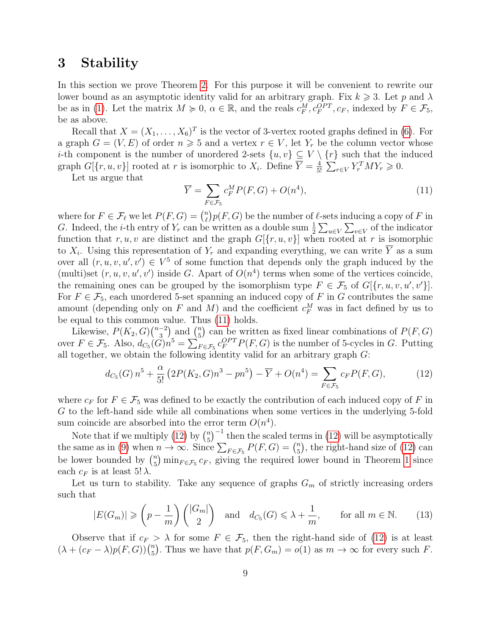# <span id="page-8-0"></span>3 Stability

In this section we prove Theorem [2.](#page-2-2) For this purpose it will be convenient to rewrite our lower bound as an asymptotic identity valid for an arbitrary graph. Fix  $k \geq 3$ . Let p and  $\lambda$ be as in [\(1\)](#page-2-0). Let the matrix  $M \ge 0$ ,  $\alpha \in \mathbb{R}$ , and the reals  $c_F^M, c_F^{OPT}, c_F$ , indexed by  $F \in \mathcal{F}_5$ , be as above.

Recall that  $X = (X_1, \ldots, X_6)^T$  is the vector of 3-vertex rooted graphs defined in [\(6\)](#page-4-2). For a graph  $G = (V, E)$  of order  $n \ge 5$  and a vertex  $r \in V$ , let  $Y_r$  be the column vector whose *i*-th component is the number of unordered 2-sets  $\{u, v\} \subseteq V \setminus \{r\}$  such that the induced graph  $G[\lbrace r, u, v \rbrace]$  rooted at r is isomorphic to  $X_i$ . Define  $\overline{Y} = \frac{4}{5}$  $\frac{4}{5!} \sum_{r \in V} Y_r^T M Y_r \geqslant 0.$ 

Let us argue that

<span id="page-8-2"></span>
$$
\overline{Y} = \sum_{F \in \mathcal{F}_5} c_F^M P(F, G) + O(n^4),\tag{11}
$$

where for  $F \in \mathcal{F}_\ell$  we let  $P(F, G) = \binom{n}{\ell}$  $\binom{n}{\ell} p(F, G)$  be the number of  $\ell$ -sets inducing a copy of F in G. Indeed, the *i*-th entry of  $Y_r$  can be written as a double sum  $\frac{1}{2} \sum_{u \in V} \sum_{v \in V}$  of the indicator function that r, u, v are distinct and the graph  $G[\{r, u, v\}]$  when rooted at r is isomorphic to  $X_i$ . Using this representation of  $Y_r$  and expanding everything, we can write Y as a sum over all  $(r, u, v, u', v') \in V^5$  of some function that depends only the graph induced by the (multi)set  $(r, u, v, u', v')$  inside G. Apart of  $O(n<sup>4</sup>)$  terms when some of the vertices coincide, the remaining ones can be grouped by the isomorphism type  $F \in \mathcal{F}_5$  of  $G[\lbrace r, u, v, u', v' \rbrace]$ . For  $F \in \mathcal{F}_5$ , each unordered 5-set spanning an induced copy of F in G contributes the same amount (depending only on F and M) and the coefficient  $c_F^M$  was in fact defined by us to be equal to this common value. Thus [\(11\)](#page-8-2) holds.

Likewise,  $P(K_2, G) \binom{n-2}{3}$  $\binom{-2}{3}$  and  $\binom{n}{5}$  $\binom{n}{5}$  can be written as fixed linear combinations of  $P(F, G)$ over  $F \in \mathcal{F}_5$ . Also,  $d_{C_5}(\tilde{G})n^5 = \sum_{F \in \mathcal{F}_5} c_F^{OPT} P(F, G)$  is the number of 5-cycles in G. Putting all together, we obtain the following identity valid for an arbitrary graph G:

<span id="page-8-1"></span>
$$
d_{C_5}(G) n^5 + \frac{\alpha}{5!} \left( 2P(K_2, G)n^3 - pn^5 \right) - \overline{Y} + O(n^4) = \sum_{F \in \mathcal{F}_5} c_F P(F, G), \tag{12}
$$

where  $c_F$  for  $F \in \mathcal{F}_5$  was defined to be exactly the contribution of each induced copy of F in G to the left-hand side while all combinations when some vertices in the underlying 5-fold sum coincide are absorbed into the error term  $O(n^4)$ .

Note that if we multiply [\(12\)](#page-8-1) by  $\binom{n}{5}$  $\binom{n}{5}^{-1}$  then the scaled terms in [\(12\)](#page-8-1) will be asymptotically the same as in [\(9\)](#page-5-1) when  $n \to \infty$ . Since  $\sum_{F \in \mathcal{F}_5} P(F, G) = \binom{n}{5}$  $\binom{n}{5}$ , the right-hand size of [\(12\)](#page-8-1) can be lower bounded by  $\binom{n}{5}$  $\binom{n}{5}$  min $_{F \in \mathcal{F}_5}$   $c_F$ , giving the required lower bound in Theorem [1](#page-2-1) since each  $c_F$  is at least 5!  $\lambda$ .

Let us turn to stability. Take any sequence of graphs  $G_m$  of strictly increasing orders such that

<span id="page-8-3"></span>
$$
|E(G_m)| \geqslant \left(p - \frac{1}{m}\right) \binom{|G_m|}{2} \quad \text{and} \quad d_{C_5}(G) \leqslant \lambda + \frac{1}{m}, \qquad \text{for all } m \in \mathbb{N}.
$$
 (13)

Observe that if  $c_F > \lambda$  for some  $F \in \mathcal{F}_5$ , then the right-hand side of [\(12\)](#page-8-1) is at least  $(\lambda + (c_F - \lambda)p(F, G))\binom{n}{5}$  $n_{5}^{n}$ ). Thus we have that  $p(F, G_m) = o(1)$  as  $m \to \infty$  for every such F.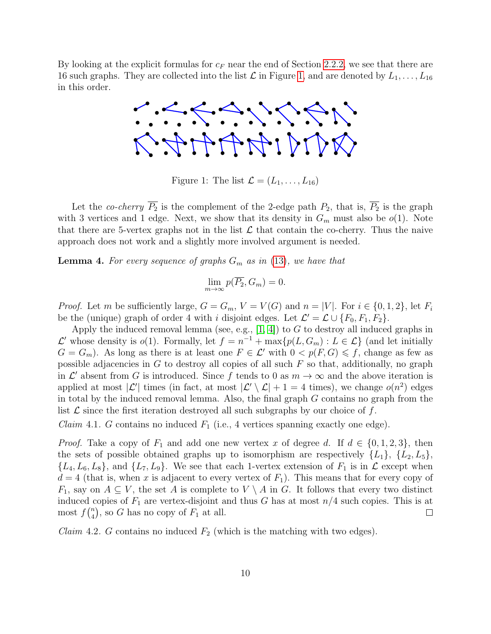<span id="page-9-0"></span>By looking at the explicit formulas for  $c_F$  near the end of Section [2.2.2,](#page-5-3) we see that there are 16 such graphs. They are collected into the list  $\mathcal L$  in Figure [1,](#page-9-0) and are denoted by  $L_1, \ldots, L_{16}$ in this order.



Figure 1: The list  $\mathcal{L} = (L_1, \ldots, L_{16})$ 

Let the co-cherry  $\overline{P_2}$  is the complement of the 2-edge path  $P_2$ , that is,  $\overline{P_2}$  is the graph with 3 vertices and 1 edge. Next, we show that its density in  $G_m$  must also be  $o(1)$ . Note that there are 5-vertex graphs not in the list  $\mathcal L$  that contain the co-cherry. Thus the naive approach does not work and a slightly more involved argument is needed.

<span id="page-9-2"></span>**Lemma 4.** For every sequence of graphs  $G_m$  as in [\(13\)](#page-8-3), we have that

$$
\lim_{m \to \infty} p(\overline{P_2}, G_m) = 0.
$$

*Proof.* Let m be sufficiently large,  $G = G_m$ ,  $V = V(G)$  and  $n = |V|$ . For  $i \in \{0, 1, 2\}$ , let  $F_i$ be the (unique) graph of order 4 with *i* disjoint edges. Let  $\mathcal{L}' = \mathcal{L} \cup \{F_0, F_1, F_2\}.$ 

Apply the induced removal lemma (see, e.g.,  $[1, 4]$  $[1, 4]$ ) to G to destroy all induced graphs in  $\mathcal{L}'$  whose density is  $o(1)$ . Formally, let  $f = n^{-1} + \max\{p(L, G_m) : L \in \mathcal{L}\}\)$  (and let initially  $G = G_m$ ). As long as there is at least one  $F \in \mathcal{L}'$  with  $0 < p(F, G) \leq f$ , change as few as possible adjacencies in G to destroy all copies of all such  $F$  so that, additionally, no graph in  $\mathcal{L}'$  absent from G is introduced. Since f tends to 0 as  $m \to \infty$  and the above iteration is applied at most  $|\mathcal{L}'|$  times (in fact, at most  $|\mathcal{L}' \setminus \mathcal{L}| + 1 = 4$  times), we change  $o(n^2)$  edges in total by the induced removal lemma. Also, the final graph  $G$  contains no graph from the list  $\mathcal L$  since the first iteration destroyed all such subgraphs by our choice of f.

<span id="page-9-1"></span>*Claim* 4.1. G contains no induced  $F_1$  (i.e., 4 vertices spanning exactly one edge).

*Proof.* Take a copy of  $F_1$  and add one new vertex x of degree d. If  $d \in \{0, 1, 2, 3\}$ , then the sets of possible obtained graphs up to isomorphism are respectively  $\{L_1\}$ ,  $\{L_2, L_5\}$ ,  $\{L_4, L_6, L_8\}$ , and  $\{L_7, L_9\}$ . We see that each 1-vertex extension of  $F_1$  is in  $\mathcal L$  except when  $d = 4$  (that is, when x is adjacent to every vertex of  $F_1$ ). This means that for every copy of  $F_1$ , say on  $A \subseteq V$ , the set A is complete to  $V \setminus A$  in G. It follows that every two distinct induced copies of  $F_1$  are vertex-disjoint and thus G has at most  $n/4$  such copies. This is at most  $f\binom{n}{4}$  $\binom{n}{4}$ , so G has no copy of  $F_1$  at all.  $\Box$ 

*Claim* 4.2. G contains no induced  $F_2$  (which is the matching with two edges).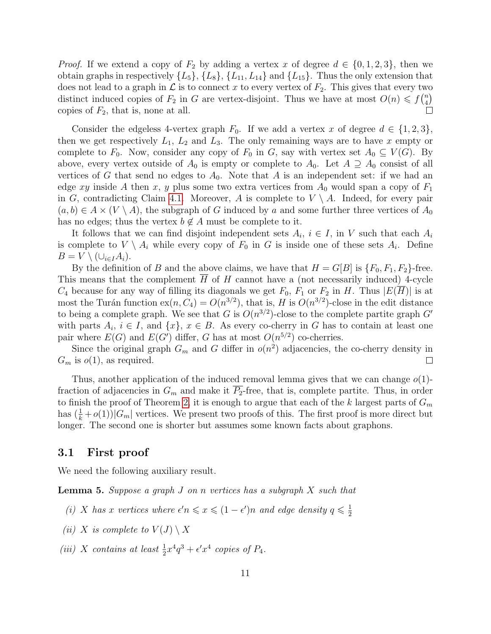*Proof.* If we extend a copy of  $F_2$  by adding a vertex x of degree  $d \in \{0, 1, 2, 3\}$ , then we obtain graphs in respectively  $\{L_5\}$ ,  $\{L_8\}$ ,  $\{L_{11}, L_{14}\}$  and  $\{L_{15}\}$ . Thus the only extension that does not lead to a graph in  $\mathcal L$  is to connect x to every vertex of  $F_2$ . This gives that every two distinct induced copies of  $F_2$  in G are vertex-disjoint. Thus we have at most  $O(n) \leq f\binom{n}{4}$  $\binom{n}{4}$ copies of  $F_2$ , that is, none at all.

Consider the edgeless 4-vertex graph  $F_0$ . If we add a vertex x of degree  $d \in \{1,2,3\},\$ then we get respectively  $L_1$ ,  $L_2$  and  $L_3$ . The only remaining ways are to have x empty or complete to  $F_0$ . Now, consider any copy of  $F_0$  in G, say with vertex set  $A_0 \subseteq V(G)$ . By above, every vertex outside of  $A_0$  is empty or complete to  $A_0$ . Let  $A \supseteq A_0$  consist of all vertices of G that send no edges to  $A_0$ . Note that A is an independent set: if we had an edge xy inside A then x, y plus some two extra vertices from  $A_0$  would span a copy of  $F_1$ in G, contradicting Claim [4.1.](#page-9-1) Moreover, A is complete to  $V \setminus A$ . Indeed, for every pair  $(a, b) \in A \times (V \setminus A)$ , the subgraph of G induced by a and some further three vertices of  $A_0$ has no edges; thus the vertex  $b \notin A$  must be complete to it.

It follows that we can find disjoint independent sets  $A_i$ ,  $i \in I$ , in V such that each  $A_i$ is complete to  $V \setminus A_i$  while every copy of  $F_0$  in G is inside one of these sets  $A_i$ . Define  $B = V \setminus (\cup_{i \in I} A_i).$ 

By the definition of B and the above claims, we have that  $H = G[B]$  is  $\{F_0, F_1, F_2\}$ -free. This means that the complement  $H$  of  $H$  cannot have a (not necessarily induced) 4-cycle  $C_4$  because for any way of filling its diagonals we get  $F_0$ ,  $F_1$  or  $F_2$  in H. Thus  $|E(\overline{H})|$  is at most the Turán function  $ex(n, C_4) = O(n^{3/2})$ , that is, H is  $O(n^{3/2})$ -close in the edit distance to being a complete graph. We see that G is  $O(n^{3/2})$ -close to the complete partite graph G' with parts  $A_i$ ,  $i \in I$ , and  $\{x\}$ ,  $x \in B$ . As every co-cherry in G has to contain at least one pair where  $E(G)$  and  $E(G')$  differ, G has at most  $O(n^{5/2})$  co-cherries.

Since the original graph  $G_m$  and G differ in  $o(n^2)$  adjacencies, the co-cherry density in  $G_m$  is  $o(1)$ , as required.  $\Box$ 

Thus, another application of the induced removal lemma gives that we can change  $o(1)$ fraction of adjacencies in  $G_m$  and make it  $P_2$ -free, that is, complete partite. Thus, in order to finish the proof of Theorem [2,](#page-2-2) it is enough to argue that each of the k largest parts of  $G_m$ has  $(\frac{1}{k} + o(1))|G_m|$  vertices. We present two proofs of this. The first proof is more direct but longer. The second one is shorter but assumes some known facts about graphons.

### 3.1 First proof

We need the following auxiliary result.

<span id="page-10-0"></span>**Lemma 5.** Suppose a graph  $J$  on n vertices has a subgraph  $X$  such that

- (i) X has x vertices where  $\epsilon' n \leqslant x \leqslant (1 \epsilon')n$  and edge density  $q \leqslant \frac{1}{2}$ 2
- (ii) X is complete to  $V(J) \setminus X$
- (iii) X contains at least  $\frac{1}{2}x^4q^3 + \epsilon'x^4$  copies of  $P_4$ .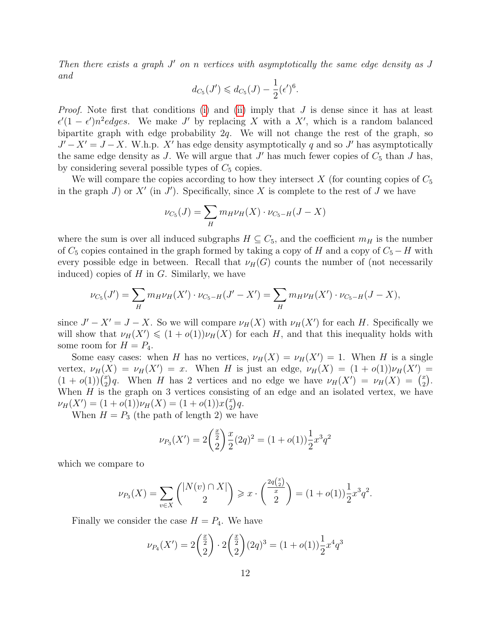Then there exists a graph  $J'$  on n vertices with asymptotically the same edge density as  $J$ and

$$
d_{C_5}(J') \leq d_{C_5}(J) - \frac{1}{2}(\epsilon')^6.
$$

*Proof.* Note first that conditions [\(i\)](#page-20-1) and [\(ii\)](#page-20-2) imply that  $J$  is dense since it has at least  $\epsilon'(1-\epsilon')n^2 edges$ . We make J' by replacing X with a X', which is a random balanced bipartite graph with edge probability  $2q$ . We will not change the rest of the graph, so  $J' - X' = J - X$ . W.h.p. X' has edge density asymptotically q and so J' has asymptotically the same edge density as  $J$ . We will argue that  $J'$  has much fewer copies of  $C_5$  than  $J$  has, by considering several possible types of  $C_5$  copies.

We will compare the copies according to how they intersect  $X$  (for counting copies of  $C_5$ ) in the graph  $J$ ) or  $X'$  (in  $J'$ ). Specifically, since X is complete to the rest of  $J$  we have

$$
\nu_{C_5}(J) = \sum_{H} m_{H} \nu_{H}(X) \cdot \nu_{C_5-H}(J - X)
$$

where the sum is over all induced subgraphs  $H \subseteq C_5$ , and the coefficient  $m_H$  is the number of  $C_5$  copies contained in the graph formed by taking a copy of H and a copy of  $C_5 - H$  with every possible edge in between. Recall that  $\nu_H(G)$  counts the number of (not necessarily induced) copies of  $H$  in  $G$ . Similarly, we have

$$
\nu_{C_5}(J') = \sum_{H} m_H \nu_H(X') \cdot \nu_{C_5-H}(J'-X') = \sum_{H} m_H \nu_H(X') \cdot \nu_{C_5-H}(J-X),
$$

since  $J' - X' = J - X$ . So we will compare  $\nu_H(X)$  with  $\nu_H(X')$  for each H. Specifically we will show that  $\nu_H(X') \leq (1 + o(1))\nu_H(X)$  for each H, and that this inequality holds with some room for  $H = P_4$ .

Some easy cases: when H has no vertices,  $\nu_H(X) = \nu_H(X') = 1$ . When H is a single vertex,  $\nu_H(X) = \nu_H(X') = x$ . When H is just an edge,  $\nu_H(X) = (1 + o(1))\nu_H(X') =$  $(1+o(1))\binom{x}{2}$  $\chi^2$ )q. When H has 2 vertices and no edge we have  $\nu_H(X') = \nu_H(X) = \binom{x}{2}$  $_{2}^{x}).$ When  $H$  is the graph on 3 vertices consisting of an edge and an isolated vertex, we have  $\nu_H(X') = (1 + o(1))\nu_H(X) = (1 + o(1))x\binom{x}{2}$  $_{2}^{x})q.$ 

When  $H = P_3$  (the path of length 2) we have

$$
\nu_{P_3}(X') = 2\left(\frac{\frac{x}{2}}{2}\right)\frac{x}{2}(2q)^2 = (1+o(1))\frac{1}{2}x^3q^2
$$

which we compare to

$$
\nu_{P_3}(X) = \sum_{v \in X} \binom{|N(v) \cap X|}{2} \geqslant x \cdot \binom{\frac{2q\binom{x}{2}}{x}}{2} = (1 + o(1))\frac{1}{2}x^3q^2.
$$

Finally we consider the case  $H = P_4$ . We have

$$
\nu_{P_4}(X') = 2\binom{\frac{x}{2}}{2} \cdot 2\binom{\frac{x}{2}}{2} (2q)^3 = (1+o(1))\frac{1}{2}x^4q^3
$$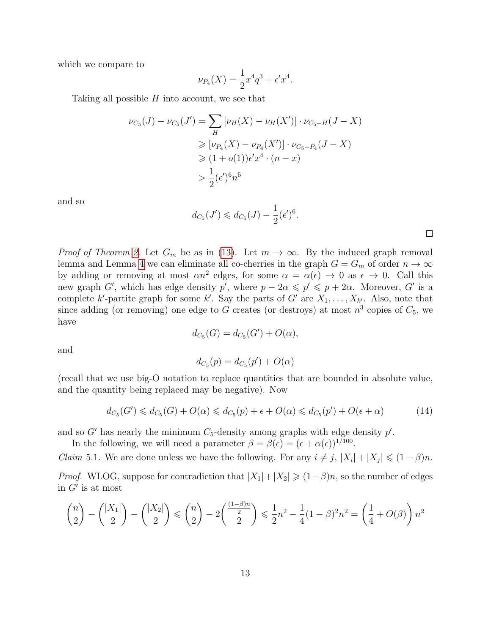which we compare to

$$
\nu_{P_4}(X) = \frac{1}{2}x^4q^3 + \epsilon'x^4.
$$

Taking all possible  $H$  into account, we see that

$$
\nu_{C_5}(J) - \nu_{C_5}(J') = \sum_{H} [\nu_H(X) - \nu_H(X')] \cdot \nu_{C_5-H}(J - X)
$$
  
\n
$$
\geq [\nu_{P_4}(X) - \nu_{P_4}(X')] \cdot \nu_{C_5-P_4}(J - X)
$$
  
\n
$$
\geq (1 + o(1))\epsilon' x^4 \cdot (n - x)
$$
  
\n
$$
> \frac{1}{2} (\epsilon')^6 n^5
$$

and so

$$
d_{C_5}(J') \leq d_{C_5}(J) - \frac{1}{2} (\epsilon')^6.
$$

*Proof of Theorem [2.](#page-2-2)* Let  $G_m$  be as in [\(13\)](#page-8-3). Let  $m \to \infty$ . By the induced graph removal lemma and Lemma [4](#page-9-2) we can eliminate all co-cherries in the graph  $G = G_m$  of order  $n \to \infty$ by adding or removing at most  $\alpha n^2$  edges, for some  $\alpha = \alpha(\epsilon) \to 0$  as  $\epsilon \to 0$ . Call this new graph G', which has edge density p', where  $p - 2\alpha \leqslant p' \leqslant p + 2\alpha$ . Moreover, G' is a complete k'-partite graph for some k'. Say the parts of G' are  $X_1, \ldots, X_{k'}$ . Also, note that since adding (or removing) one edge to G creates (or destroys) at most  $n^3$  copies of  $C_5$ , we have

$$
d_{C_5}(G) = d_{C_5}(G') + O(\alpha),
$$

and

$$
d_{C_5}(p) = d_{C_5}(p') + O(\alpha)
$$

(recall that we use big-O notation to replace quantities that are bounded in absolute value, and the quantity being replaced may be negative). Now

<span id="page-12-0"></span>
$$
d_{C_5}(G') \leq d_{C_5}(G) + O(\alpha) \leq d_{C_5}(p) + \epsilon + O(\alpha) \leq d_{C_5}(p') + O(\epsilon + \alpha) \tag{14}
$$

and so  $G'$  has nearly the minimum  $C_5$ -density among graphs with edge density  $p'$ .

In the following, we will need a parameter  $\beta = \beta(\epsilon) = (\epsilon + \alpha(\epsilon))^{1/100}$ .

*Claim* 5.1. We are done unless we have the following. For any  $i \neq j$ ,  $|X_i| + |X_j| \leq (1 - \beta)n$ .

*Proof.* WLOG, suppose for contradiction that  $|X_1|+|X_2| \geq (1-\beta)n$ , so the number of edges in  $G'$  is at most

$$
\binom{n}{2} - \binom{|X_1|}{2} - \binom{|X_2|}{2} \le \binom{n}{2} - 2\binom{\frac{(1-\beta)n}{2}}{2} \le \frac{1}{2}n^2 - \frac{1}{4}(1-\beta)^2n^2 = \left(\frac{1}{4} + O(\beta)\right)n^2
$$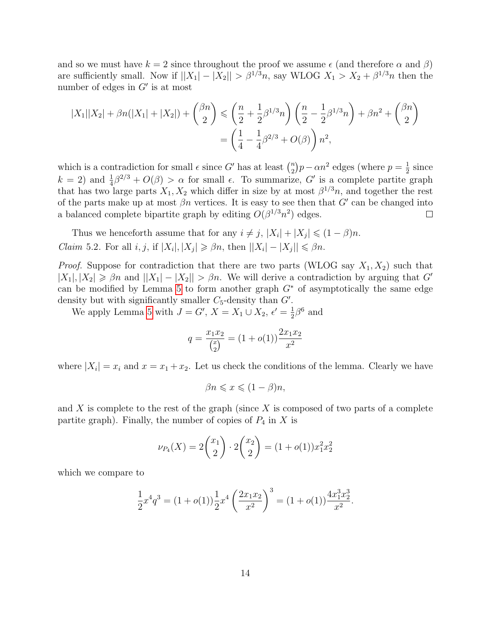and so we must have  $k = 2$  since throughout the proof we assume  $\epsilon$  (and therefore  $\alpha$  and  $\beta$ ) are sufficiently small. Now if  $||X_1| - |X_2|| > \beta^{1/3}n$ , say WLOG  $X_1 > X_2 + \beta^{1/3}n$  then the number of edges in  $G'$  is at most

$$
|X_1||X_2| + \beta n(|X_1| + |X_2|) + {\beta n \choose 2} \leq \left(\frac{n}{2} + \frac{1}{2}\beta^{1/3}n\right) \left(\frac{n}{2} - \frac{1}{2}\beta^{1/3}n\right) + \beta n^2 + {\beta n \choose 2}
$$

$$
= \left(\frac{1}{4} - \frac{1}{4}\beta^{2/3} + O(\beta)\right)n^2,
$$

which is a contradiction for small  $\epsilon$  since G' has at least  $\binom{n}{2}$  $\binom{n}{2}p-\alpha n^2$  edges (where  $p=\frac{1}{2}$ )  $\frac{1}{2}$  since  $k = 2$ ) and  $\frac{1}{4}\beta^{2/3} + O(\beta) > \alpha$  for small  $\epsilon$ . To summarize, G' is a complete partite graph that has two large parts  $X_1, X_2$  which differ in size by at most  $\beta^{1/3}n$ , and together the rest of the parts make up at most  $\beta n$  vertices. It is easy to see then that G' can be changed into a balanced complete bipartite graph by editing  $O(\beta^{1/3}n^2)$  edges.  $\Box$ 

<span id="page-13-0"></span>Thus we henceforth assume that for any  $i \neq j$ ,  $|X_i| + |X_j| \leq (1 - \beta)n$ . *Claim* 5.2. For all *i*, *j*, if  $|X_i|, |X_j| \geq \beta n$ , then  $||X_i| - |X_j|| \leq \beta n$ .

*Proof.* Suppose for contradiction that there are two parts (WLOG say  $X_1, X_2$ ) such that  $|X_1|, |X_2| \geq \beta n$  and  $||X_1| - |X_2|| > \beta n$ . We will derive a contradiction by arguing that G can be modified by Lemma [5](#page-10-0) to form another graph  $G^*$  of asymptotically the same edge density but with significantly smaller  $C_5$ -density than  $G'$ .

We apply Lemma [5](#page-10-0) with  $J = G', X = X_1 \cup X_2, \epsilon' = \frac{1}{2}$  $\frac{1}{2}\beta^6$  and

$$
q = \frac{x_1 x_2}{\binom{x}{2}} = (1 + o(1)) \frac{2x_1 x_2}{x^2}
$$

where  $|X_i| = x_i$  and  $x = x_1 + x_2$ . Let us check the conditions of the lemma. Clearly we have

$$
\beta n \leqslant x \leqslant (1 - \beta)n,
$$

and  $X$  is complete to the rest of the graph (since  $X$  is composed of two parts of a complete partite graph). Finally, the number of copies of  $P_4$  in X is

$$
\nu_{P_4}(X) = 2\binom{x_1}{2} \cdot 2\binom{x_2}{2} = (1 + o(1))x_1^2 x_2^2
$$

which we compare to

$$
\frac{1}{2}x^4q^3 = (1+o(1))\frac{1}{2}x^4\left(\frac{2x_1x_2}{x^2}\right)^3 = (1+o(1))\frac{4x_1^3x_2^3}{x^2}.
$$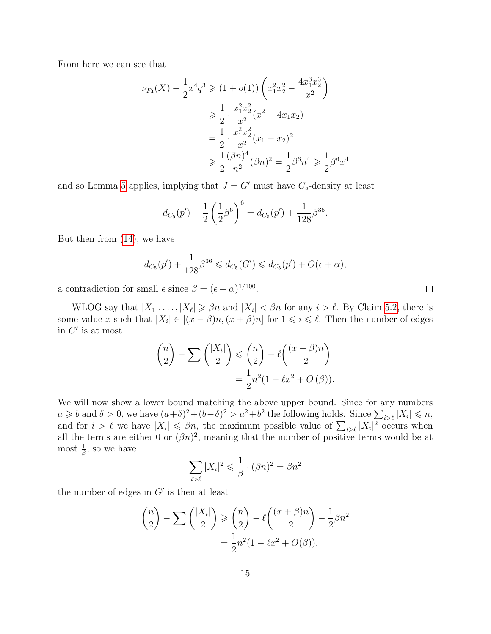From here we can see that

$$
\nu_{P_4}(X) - \frac{1}{2}x^4 q^3 \ge (1 + o(1)) \left( x_1^2 x_2^2 - \frac{4x_1^3 x_2^3}{x^2} \right)
$$
  
\n
$$
\ge \frac{1}{2} \cdot \frac{x_1^2 x_2^2}{x^2} (x^2 - 4x_1 x_2)
$$
  
\n
$$
= \frac{1}{2} \cdot \frac{x_1^2 x_2^2}{x^2} (x_1 - x_2)^2
$$
  
\n
$$
\ge \frac{1}{2} \frac{(\beta n)^4}{n^2} (\beta n)^2 = \frac{1}{2} \beta^6 n^4 \ge \frac{1}{2} \beta^6 x^4
$$

and so Lemma [5](#page-10-0) applies, implying that  $J = G'$  must have  $C_5$ -density at least

$$
d_{C_5}(p') + \frac{1}{2} \left(\frac{1}{2}\beta^6\right)^6 = d_{C_5}(p') + \frac{1}{128}\beta^{36}.
$$

But then from [\(14\)](#page-12-0), we have

$$
d_{C_5}(p') + \frac{1}{128} \beta^{36} \leq d_{C_5}(G') \leq d_{C_5}(p') + O(\epsilon + \alpha),
$$

a contradiction for small  $\epsilon$  since  $\beta = (\epsilon + \alpha)^{1/100}$ .

WLOG say that  $|X_1|, \ldots, |X_\ell| \geq \beta n$  and  $|X_i| < \beta n$  for any  $i > \ell$ . By Claim [5.2,](#page-13-0) there is some value x such that  $|X_i| \in [(x - \beta)n, (x + \beta)n]$  for  $1 \leq i \leq \ell$ . Then the number of edges in  $G'$  is at most

$$
\binom{n}{2} - \sum \binom{|X_i|}{2} \leq \binom{n}{2} - \ell \binom{(x-\beta)n}{2}
$$

$$
= \frac{1}{2}n^2(1 - \ell x^2 + O(\beta)).
$$

We will now show a lower bound matching the above upper bound. Since for any numbers  $a \geq b$  and  $\delta > 0$ , we have  $(a+\delta)^2 + (b-\delta)^2 > a^2 + b^2$  the following holds. Since  $\sum_{i > \ell} |X_i| \leqslant n$ , and for  $i > \ell$  we have  $|X_i| \leq \beta n$ , the maximum possible value of  $\sum_{i>\ell} |X_i|^2$  occurs when all the terms are either 0 or  $(\beta n)^2$ , meaning that the number of positive terms would be at most  $\frac{1}{\beta}$ , so we have

$$
\sum_{i>\ell} |X_i|^2 \leq \frac{1}{\beta} \cdot (\beta n)^2 = \beta n^2
$$

the number of edges in  $G'$  is then at least

$$
\binom{n}{2} - \sum \binom{|X_i|}{2} \ge \binom{n}{2} - \ell \binom{(x+\beta)n}{2} - \frac{1}{2}\beta n^2
$$

$$
= \frac{1}{2}n^2(1 - \ell x^2 + O(\beta)).
$$

 $\Box$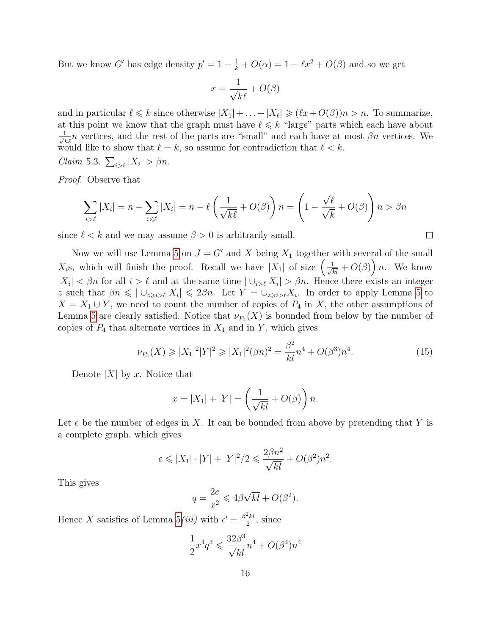But we know G' has edge density  $p' = 1 - \frac{1}{k} + O(\alpha) = 1 - \ell x^2 + O(\beta)$  and so we get

$$
x = \frac{1}{\sqrt{k\ell}} + O(\beta)
$$

and in particular  $\ell \leq k$  since otherwise  $|X_1| + \ldots + |X_\ell| \geq (\ell x + O(\beta))n > n$ . To summarize, at this point we know that the graph must have  $\ell \leq k$  "large" parts which each have about  $\frac{1}{\sqrt{k\ell}}n$  vertices, and the rest of the parts are "small" and each have at most  $\beta n$  vertices. We would like to show that  $\ell = k$ , so assume for contradiction that  $\ell < k$ . Claim 5.3.  $\sum_{i>\ell} |X_i| > \beta n$ .

Proof. Observe that

$$
\sum_{i>\ell} |X_i| = n - \sum_{i \leq \ell} |X_i| = n - \ell \left( \frac{1}{\sqrt{k\ell}} + O(\beta) \right) n = \left( 1 - \frac{\sqrt{\ell}}{\sqrt{k}} + O(\beta) \right) n > \beta n
$$

since  $\ell < k$  and we may assume  $\beta > 0$  is arbitrarily small.

Now we will use Lemma [5](#page-10-0) on  $J = G'$  and X being  $X_1$  together with several of the small  $X_i$ s, which will finish the proof. Recall we have  $|X_1|$  of size  $\left(\frac{1}{\sqrt{kl}}+O(\beta)\right)n$ . We know  $|X_i| < \beta n$  for all  $i > \ell$  and at the same time  $|\bigcup_{i>\ell} X_i| > \beta n$ . Hence there exists an integer z such that  $\beta n \leqslant |\bigcup_{z\geqslant i\geqslant \ell} X_i| \leqslant 2\beta n$ . Let  $Y = \bigcup_{z\geqslant i\geqslant \ell} X_i$ . In order to apply Lemma [5](#page-10-0) to  $X = X_1 \cup Y$ , we need to count the number of copies of  $P_4$  in X, the other assumptions of Lemma [5](#page-10-0) are clearly satisfied. Notice that  $\nu_{P_4}(X)$  is bounded from below by the number of copies of  $P_4$  that alternate vertices in  $X_1$  and in Y, which gives

<span id="page-15-0"></span>
$$
\nu_{P_4}(X) \ge |X_1|^2 |Y|^2 \ge |X_1|^2 (\beta n)^2 = \frac{\beta^2}{kl} n^4 + O(\beta^3) n^4. \tag{15}
$$

Denote  $|X|$  by x. Notice that

$$
x = |X_1| + |Y| = \left(\frac{1}{\sqrt{kl}} + O(\beta)\right)n.
$$

Let  $e$  be the number of edges in X. It can be bounded from above by pretending that Y is a complete graph, which gives

$$
e \le |X_1| \cdot |Y| + |Y|^2/2 \le \frac{2\beta n^2}{\sqrt{kl}} + O(\beta^2)n^2.
$$

This gives

$$
q = \frac{2e}{x^2} \leq 4\beta\sqrt{kl} + O(\beta^2).
$$

Hence X satisfies of Lemma  $5(iii)$  with  $\epsilon' = \frac{\beta^2 kl}{2}$  $\frac{2}{2}$ <sup>kl</sup>, since

$$
\frac{1}{2}x^4q^3 \leqslant \frac{32\beta^3}{\sqrt{kl}}n^4 + O(\beta^4)n^4
$$

 $\Box$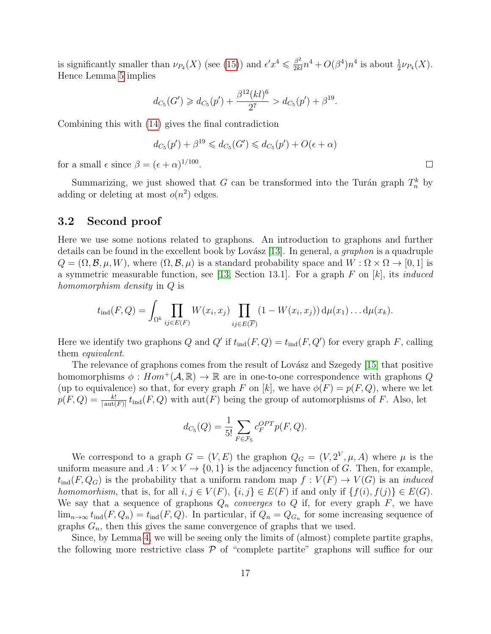is significantly smaller than  $\nu_{P_4}(X)$  (see [\(15\)](#page-15-0)) and  $\epsilon' x^4 \leq \frac{\beta^2}{2kl} n^4 + O(\beta^4) n^4$  is about  $\frac{1}{2} \nu_{P_4}(X)$ . Hence Lemma [5](#page-10-0) implies

$$
d_{C_5}(G') \geq d_{C_5}(p') + \frac{\beta^{12}(kl)^6}{2^7} > d_{C_5}(p') + \beta^{19}.
$$

Combining this with [\(14\)](#page-12-0) gives the final contradiction

$$
d_{C_5}(p') + \beta^{19} \leqslant d_{C_5}(G') \leqslant d_{C_5}(p') + O(\epsilon + \alpha)
$$

for a small  $\epsilon$  since  $\beta = (\epsilon + \alpha)^{1/100}$ .

Summarizing, we just showed that G can be transformed into the Turán graph  $T_n^k$  by adding or deleting at most  $o(n^2)$  edges.

### 3.2 Second proof

Here we use some notions related to graphons. An introduction to graphons and further details can be found in the excellent book by Lovász [\[13\]](#page-23-11). In general, a *graphon* is a quadruple  $Q = (\Omega, \mathcal{B}, \mu, W)$ , where  $(\Omega, \mathcal{B}, \mu)$  is a standard probability space and  $W : \Omega \times \Omega \to [0, 1]$  is a symmetric measurable function, see [\[13,](#page-23-11) Section 13.1]. For a graph  $F$  on  $[k]$ , its *induced* homomorphism density in Q is

$$
t_{\text{ind}}(F,Q) = \int_{\Omega^k} \prod_{ij \in E(F)} W(x_i, x_j) \prod_{ij \in E(\overline{F})} (1 - W(x_i, x_j)) d\mu(x_1) \dots d\mu(x_k).
$$

Here we identify two graphons Q and Q' if  $t_{\text{ind}}(F,Q) = t_{\text{ind}}(F,Q')$  for every graph F, calling them equivalent.

The relevance of graphons comes from the result of Lovász and Szegedy [\[15\]](#page-23-12) that positive homomorphisms  $\phi : Hom^+(\mathcal{A}, \mathbb{R}) \to \mathbb{R}$  are in one-to-one correspondence with graphons Q (up to equivalence) so that, for every graph F on [k], we have  $\phi(F) = p(F, Q)$ , where we let  $p(F,Q) = \frac{k!}{|\text{aut}(F)|} t_{\text{ind}}(F,Q)$  with  $\text{aut}(F)$  being the group of automorphisms of F. Also, let

$$
d_{C_5}(Q) = \frac{1}{5!} \sum_{F \in \mathcal{F}_5} c_F^{OPT} p(F, Q).
$$

We correspond to a graph  $G = (V, E)$  the graphon  $Q_G = (V, 2^V, \mu, A)$  where  $\mu$  is the uniform measure and  $A: V \times V \rightarrow \{0,1\}$  is the adjacency function of G. Then, for example,  $t_{\text{ind}}(F,Q_G)$  is the probability that a uniform random map  $f: V(F) \to V(G)$  is an *induced* homomorhism, that is, for all  $i, j \in V(F)$ ,  $\{i, j\} \in E(F)$  if and only if  $\{f(i), f(j)\} \in E(G)$ . We say that a sequence of graphons  $Q_n$  converges to Q if, for every graph F, we have  $\lim_{n\to\infty} t_{\text{ind}}(F,Q_n) = t_{\text{ind}}(F,Q)$ . In particular, if  $Q_n = Q_{G_n}$  for some increasing sequence of graphs  $G_n$ , then this gives the same convergence of graphs that we used.

Since, by Lemma [4,](#page-9-2) we will be seeing only the limits of (almost) complete partite graphs, the following more restrictive class  $P$  of "complete partite" graphons will suffice for our

 $\Box$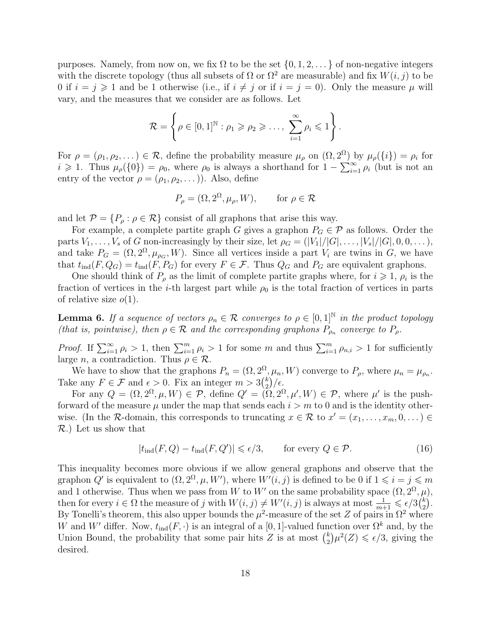purposes. Namely, from now on, we fix  $\Omega$  to be the set  $\{0, 1, 2, \ldots\}$  of non-negative integers with the discrete topology (thus all subsets of  $\Omega$  or  $\Omega^2$  are measurable) and fix  $W(i, j)$  to be 0 if  $i = j \ge 1$  and be 1 otherwise (i.e., if  $i \ne j$  or if  $i = j = 0$ ). Only the measure  $\mu$  will vary, and the measures that we consider are as follows. Let

$$
\mathcal{R} = \left\{ \rho \in [0,1]^{\mathbb{N}} : \rho_1 \geqslant \rho_2 \geqslant \ldots, \sum_{i=1}^{\infty} \rho_i \leqslant 1 \right\}.
$$

For  $\rho = (\rho_1, \rho_2, \dots) \in \mathcal{R}$ , define the probability measure  $\mu_\rho$  on  $(\Omega, 2^{\Omega})$  by  $\mu_\rho(\{i\}) = \rho_i$  for  $i \geq 1$ . Thus  $\mu_{\rho}(\{0\}) = \rho_0$ , where  $\rho_0$  is always a shorthand for  $1 - \sum_{i=1}^{\infty} \rho_i$  (but is not an entry of the vector  $\rho = (\rho_1, \rho_2, \dots)$ ). Also, define

$$
P_{\rho} = (\Omega, 2^{\Omega}, \mu_{\rho}, W), \quad \text{for } \rho \in \mathcal{R}
$$

and let  $\mathcal{P} = \{P_{\rho} : \rho \in \mathcal{R}\}\)$  consist of all graphons that arise this way.

For example, a complete partite graph G gives a graphon  $P_G \in \mathcal{P}$  as follows. Order the parts  $V_1, \ldots, V_s$  of G non-increasingly by their size, let  $\rho_G = (|V_1|/|G|, \ldots, |V_s|/|G|, 0, 0, \ldots),$ and take  $P_G = (\Omega, 2^{\Omega}, \mu_{\rho_G}, W)$ . Since all vertices inside a part  $V_i$  are twins in G, we have that  $t_{\text{ind}}(F,Q_G) = t_{\text{ind}}(F,P_G)$  for every  $F \in \mathcal{F}$ . Thus  $Q_G$  and  $P_G$  are equivalent graphons.

One should think of  $P_\rho$  as the limit of complete partite graphs where, for  $i \geqslant 1$ ,  $\rho_i$  is the fraction of vertices in the *i*-th largest part while  $\rho_0$  is the total fraction of vertices in parts of relative size  $o(1)$ .

<span id="page-17-1"></span>**Lemma 6.** If a sequence of vectors  $\rho_n \in \mathcal{R}$  converges to  $\rho \in [0,1]^{\mathbb{N}}$  in the product topology (that is, pointwise), then  $\rho \in \mathcal{R}$  and the corresponding graphons  $P_{\rho_n}$  converge to  $P_{\rho_n}$ .

*Proof.* If  $\sum_{i=1}^{\infty} \rho_i > 1$ , then  $\sum_{i=1}^{m} \rho_i > 1$  for some m and thus  $\sum_{i=1}^{m} \rho_{n,i} > 1$  for sufficiently large *n*, a contradiction. Thus  $\rho \in \mathcal{R}$ .

We have to show that the graphons  $P_n = (\Omega, 2^{\Omega}, \mu_n, W)$  converge to  $P_{\rho}$ , where  $\mu_n = \mu_{\rho_n}$ . Take any  $F \in \mathcal{F}$  and  $\epsilon > 0$ . Fix an integer  $m > 3{k \choose 2}$  $\binom{k}{2}/\epsilon.$ 

For any  $Q = (\Omega, 2^{\Omega}, \mu, W) \in \mathcal{P}$ , define  $Q' = (\Omega, 2^{\Omega}, \mu', W) \in \mathcal{P}$ , where  $\mu'$  is the pushforward of the measure  $\mu$  under the map that sends each  $i > m$  to 0 and is the identity otherwise. (In the R-domain, this corresponds to truncating  $x \in \mathcal{R}$  to  $x' = (x_1, \ldots, x_m, 0, \ldots) \in$ R.) Let us show that

<span id="page-17-0"></span>
$$
|t_{\text{ind}}(F,Q) - t_{\text{ind}}(F,Q')| \leq \epsilon/3, \qquad \text{for every } Q \in \mathcal{P}.
$$
 (16)

This inequality becomes more obvious if we allow general graphons and observe that the graphon Q' is equivalent to  $(\Omega, 2^{\Omega}, \mu, W')$ , where  $W'(i, j)$  is defined to be 0 if  $1 \leq i = j \leq m$ and 1 otherwise. Thus when we pass from W to W' on the same probability space  $(\Omega, 2^{\Omega}, \mu)$ , then for every  $i \in \Omega$  the measure of j with  $W(i, j) \neq W'(i, j)$  is always at most  $\frac{1}{m+1} \leqslant \frac{\epsilon}{3} {k \choose 2}$  $\binom{k}{2}$ . By Tonelli's theorem, this also upper bounds the  $\mu^2$ -measure of the set Z of pairs in  $\Omega^2$  where W and W' differ. Now,  $t_{\text{ind}}(F, \cdot)$  is an integral of a [0, 1]-valued function over  $\Omega^k$  and, by the Union Bound, the probability that some pair hits Z is at most  $\binom{k}{2}$  $(\frac{k}{2})\mu^2(Z) \leq \epsilon/3$ , giving the desired.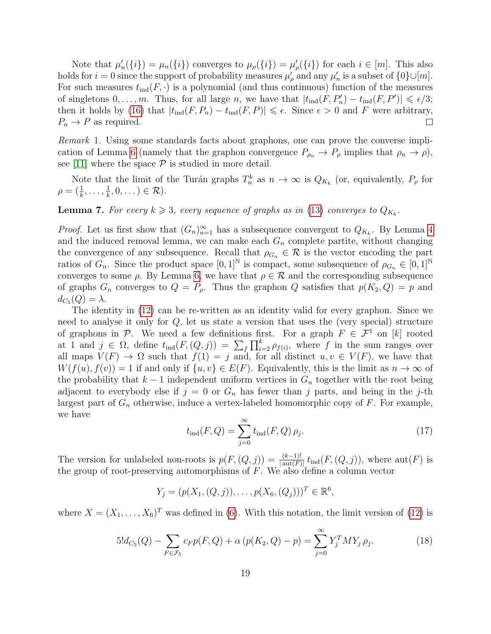Note that  $\mu'_n(\{i\}) = \mu_n(\{i\})$  converges to  $\mu_\rho(\{i\}) = \mu'_\rho(\{i\})$  for each  $i \in [m]$ . This also holds for  $i = 0$  since the support of probability measures  $\mu'_{\rho}$  and any  $\mu'_{n}$  is a subset of  $\{0\} \cup [m]$ . For such measures  $t_{\text{ind}}(F, \cdot)$  is a polynomial (and thus continuous) function of the measures of singletons  $0, \ldots, m$ . Thus, for all large n, we have that  $|t_{\text{ind}}(F, P_n') - t_{\text{ind}}(F, P')| \leq \epsilon/3$ ; then it holds by [\(16\)](#page-17-0) that  $|t_{ind}(F, P_n) - t_{ind}(F, P)| \leq \epsilon$ . Since  $\epsilon > 0$  and F were arbitrary,  $P_n \to P$  as required.  $\Box$ 

Remark 1. Using some standards facts about graphons, one can prove the converse impli-cation of Lemma [6](#page-17-1) (namely that the graphon convergence  $P_{\rho_n} \to P_\rho$  implies that  $\rho_n \to \rho$ ), see [\[11\]](#page-23-13) where the space  $P$  is studied in more detail.

Note that the limit of the Turán graphs  $T_n^k$  as  $n \to \infty$  is  $Q_{K_k}$  (or, equivalently,  $P_\rho$  for  $\rho = (\frac{1}{k}, \ldots, \frac{1}{k})$  $\frac{1}{k}, 0, \dots$  )  $\in \mathcal{R}$ ).

<span id="page-18-2"></span>**Lemma 7.** For every  $k \ge 3$ , every sequence of graphs as in [\(13\)](#page-8-3) converges to  $Q_{K_k}$ .

*Proof.* Let us first show that  $(G_n)_{n=1}^{\infty}$  has a subsequence convergent to  $Q_{K_k}$ . By Lemma [4](#page-9-2) and the induced removal lemma, we can make each  $G_n$  complete partite, without changing the convergence of any subsequence. Recall that  $\rho_{G_n} \in \mathcal{R}$  is the vector encoding the part ratios of  $G_n$ . Since the product space  $[0,1]^{\mathbb{N}}$  is compact, some subsequence of  $\rho_{G_n} \in [0,1]^{\mathbb{N}}$ converges to some  $\rho$ . By Lemma [6,](#page-17-1) we have that  $\rho \in \mathcal{R}$  and the corresponding subsequence of graphs  $G_n$  converges to  $Q = P_\rho$ . Thus the graphon Q satisfies that  $p(K_2, Q) = p$  and  $d_{C_5}(Q) = \lambda.$ 

The identity in [\(12\)](#page-8-1) can be re-written as an identity valid for every graphon. Since we need to analyse it only for Q, let us state a version that uses the (very special) structure of graphons in P. We need a few definitions first. For a graph  $F \in \mathcal{F}^1$  on [k] rooted at 1 and  $j \in \Omega$ , define  $t_{\text{ind}}(F,(Q,j)) = \sum_{f} \prod_{i=2}^{k} \rho_{f(i)}$ , where f in the sum ranges over all maps  $V(F) \to \Omega$  such that  $f(1) = j$  and, for all distinct  $u, v \in V(F)$ , we have that  $W(f(u), f(v)) = 1$  if and only if  $\{u, v\} \in E(F)$ . Equivalently, this is the limit as  $n \to \infty$  of the probability that  $k-1$  independent uniform vertices in  $G_n$  together with the root being adjacent to everybody else if  $j = 0$  or  $G_n$  has fewer than j parts, and being in the j-th largest part of  $G_n$  otherwise, induce a vertex-labeled homomorphic copy of  $F$ . For example, we have

<span id="page-18-1"></span>
$$
t_{\text{ind}}(F, Q) = \sum_{j=0}^{\infty} t_{\text{ind}}(F, Q) \,\rho_j. \tag{17}
$$

The version for unlabeled non-roots is  $p(F,(Q, j)) = \frac{(k-1)!}{|\text{aut}(F)|} t_{\text{ind}}(F,(Q, j))$ , where  $\text{aut}(F)$  is the group of root-preserving automorphisms of  $F$ . We also define a column vector

$$
Y_j = (p(X_1, (Q, j)), \dots, p(X_6, (Q_j)))^T \in \mathbb{R}^6
$$
,

where  $X = (X_1, \ldots, X_6)^T$  was defined in [\(6\)](#page-4-2). With this notation, the limit version of [\(12\)](#page-8-1) is

<span id="page-18-0"></span>
$$
5!d_{C_5}(Q) - \sum_{F \in \mathcal{F}_5} c_F p(F,Q) + \alpha \left( p(K_2, Q) - p \right) = \sum_{j=0}^{\infty} Y_j^T M Y_j \rho_j.
$$
 (18)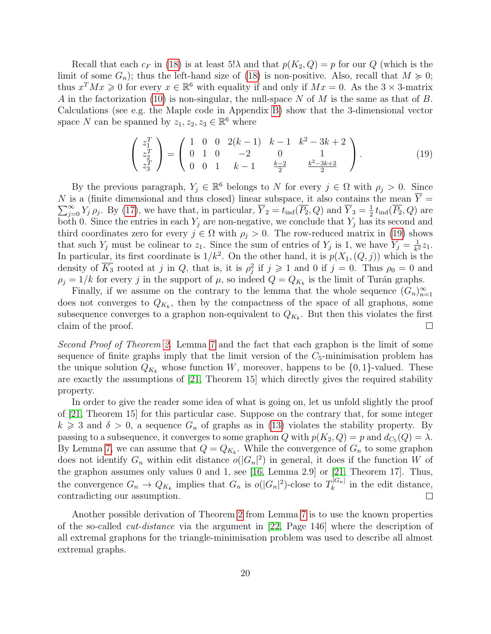Recall that each  $c_F$  in [\(18\)](#page-18-0) is at least 5! $\lambda$  and that  $p(K_2, Q) = p$  for our Q (which is the limit of some  $G_n$ ); thus the left-hand size of [\(18\)](#page-18-0) is non-positive. Also, recall that  $M \ge 0$ ; thus  $x^T M x \geq 0$  for every  $x \in \mathbb{R}^6$  with equality if and only if  $M x = 0$ . As the  $3 \times 3$ -matrix A in the factorization [\(10\)](#page-6-1) is non-singular, the null-space N of M is the same as that of B. Calculations (see e.g. the Maple code in Appendix [B\)](#page-26-0) show that the 3-dimensional vector space N can be spanned by  $z_1, z_2, z_3 \in \mathbb{R}^6$  where

<span id="page-19-0"></span>
$$
\begin{pmatrix} z_1^T \ z_2^T \ z_3^T \end{pmatrix} = \begin{pmatrix} 1 & 0 & 0 & 2(k-1) & k-1 & k^2 - 3k + 2 \ 0 & 1 & 0 & -2 & 0 & 1 \ 0 & 0 & 1 & k-1 & \frac{k-2}{2} & \frac{k^2 - 3k + 2}{2} \end{pmatrix}.
$$
 (19)

By the previous paragraph,  $Y_j \in \mathbb{R}^6$  belongs to N for every  $j \in \Omega$  with  $\rho_j > 0$ . Since N is a (finite dimensional and thus closed) linear subspace, it also contains the mean  $\overline{Y}$  =  $\sum_{j=0}^{\infty} Y_j \rho_j$ . By [\(17\)](#page-18-1), we have that, in particular,  $\overline{Y}_2 = t_{ind}(\overline{P_2}, Q)$  and  $\overline{Y}_3 = \frac{1}{2}$  $\frac{1}{2} t_{\text{ind}}(P_2, Q)$  are both 0. Since the entries in each  $Y_j$  are non-negative, we conclude that  $Y_j$  has its second and third coordinates zero for every  $j \in \Omega$  with  $\rho_j > 0$ . The row-reduced matrix in [\(19\)](#page-19-0) shows that such  $Y_j$  must be colinear to  $z_1$ . Since the sum of entries of  $Y_j$  is 1, we have  $Y_j = \frac{1}{k^2}$  $\frac{1}{k^2}z_1.$ In particular, its first coordinate is  $1/k^2$ . On the other hand, it is  $p(X_1,(Q, j))$  which is the density of  $\overline{K_3}$  rooted at j in Q, that is, it is  $\rho_j^2$  if  $j \geq 1$  and 0 if  $j = 0$ . Thus  $\rho_0 = 0$  and  $\rho_j = 1/k$  for every j in the support of  $\mu$ , so indeed  $Q = Q_{K_k}$  is the limit of Turán graphs.

Finally, if we assume on the contrary to the lemma that the whole sequence  $(G_n)_{n=1}^{\infty}$ does not converges to  $Q_{K_k}$ , then by the compactness of the space of all graphons, some subsequence converges to a graphon non-equivalent to  $Q_{K_k}$ . But then this violates the first claim of the proof.  $\Box$ 

Second Proof of Theorem [2.](#page-2-2) Lemma [7](#page-18-2) and the fact that each graphon is the limit of some sequence of finite graphs imply that the limit version of the  $C_5$ -minimisation problem has the unique solution  $Q_{K_k}$  whose function W, moreover, happens to be  $\{0, 1\}$ -valued. These are exactly the assumptions of [\[21,](#page-23-14) Theorem 15] which directly gives the required stability property.

In order to give the reader some idea of what is going on, let us unfold slightly the proof of [\[21,](#page-23-14) Theorem 15] for this particular case. Suppose on the contrary that, for some integer  $k \geq 3$  and  $\delta > 0$ , a sequence  $G_n$  of graphs as in [\(13\)](#page-8-3) violates the stability property. By passing to a subsequence, it converges to some graphon Q with  $p(K_2, Q) = p$  and  $d_{C_5}(Q) = \lambda$ . By Lemma [7,](#page-18-2) we can assume that  $Q = Q_{K_k}$ . While the convergence of  $G_n$  to some graphon does not identify  $G_n$  within edit distance  $o(|G_n|^2)$  in general, it does if the function W of the graphon assumes only values 0 and 1, see [\[16,](#page-23-15) Lemma 2.9] or [\[21,](#page-23-14) Theorem 17]. Thus, the convergence  $G_n \to Q_{K_k}$  implies that  $G_n$  is  $o(|G_n|^2)$ -close to  $T_k^{|G_n|}$  $\int_{k}^{\left|\mathbf{G}_{n}\right|}$  in the edit distance, contradicting our assumption.  $\Box$ 

Another possible derivation of Theorem [2](#page-2-2) from Lemma [7](#page-18-2) is to use the known properties of the so-called cut-distance via the argument in [\[22,](#page-24-4) Page 146] where the description of all extremal graphons for the triangle-minimisation problem was used to describe all almost extremal graphs.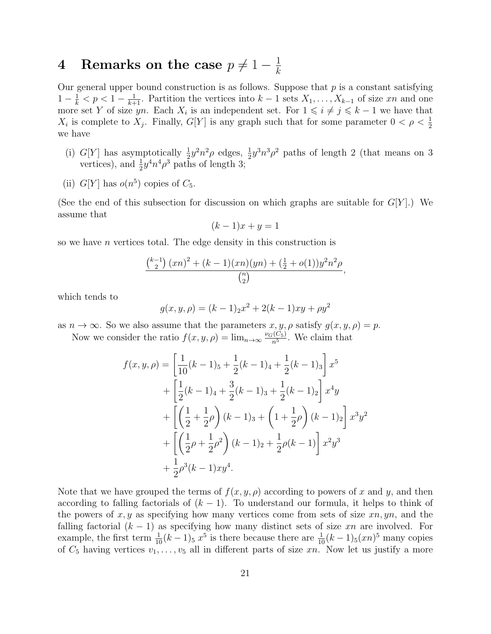### <span id="page-20-0"></span>4 Remarks on the case  $p \neq 1 - \frac{1}{k}$ k

Our general upper bound construction is as follows. Suppose that  $p$  is a constant satisfying  $1-\frac{1}{k} < p < 1-\frac{1}{k+1}$ . Partition the vertices into  $k-1$  sets  $X_1, \ldots, X_{k-1}$  of size xn and one more set Y of size yn. Each  $X_i$  is an independent set. For  $1 \leq i \neq j \leq k-1$  we have that  $X_i$  is complete to  $X_j$ . Finally,  $G[Y]$  is any graph such that for some parameter  $0 < \rho < \frac{1}{2}$ we have

- <span id="page-20-1"></span>(i) G[Y] has asymptotically  $\frac{1}{2}y^2n^2\rho$  edges,  $\frac{1}{2}y^3n^3\rho^2$  paths of length 2 (that means on 3 vertices), and  $\frac{1}{2}y^4n^4\rho^3$  paths of length 3;
- <span id="page-20-2"></span>(ii)  $G[Y]$  has  $o(n^5)$  copies of  $C_5$ .

(See the end of this subsection for discussion on which graphs are suitable for  $G[Y]$ .) We assume that

$$
(k-1)x + y = 1
$$

so we have n vertices total. The edge density in this construction is

$$
\frac{\binom{k-1}{2}(xn)^2 + (k-1)(xn)(yn) + (\frac{1}{2} + o(1))y^2n^2\rho}{\binom{n}{2}},
$$

which tends to

$$
g(x, y, \rho) = (k - 1)2x^2 + 2(k - 1)xy + \rho y^2
$$

as  $n \to \infty$ . So we also assume that the parameters  $x, y, \rho$  satisfy  $g(x, y, \rho) = p$ .

Now we consider the ratio  $f(x, y, \rho) = \lim_{n \to \infty} \frac{\nu_G(C_5)}{n^5}$  $\frac{n^{(C_5)}}{n^5}$ . We claim that

$$
f(x, y, \rho) = \left[\frac{1}{10}(k-1)_5 + \frac{1}{2}(k-1)_4 + \frac{1}{2}(k-1)_3\right] x^5
$$
  
+ 
$$
\left[\frac{1}{2}(k-1)_4 + \frac{3}{2}(k-1)_3 + \frac{1}{2}(k-1)_2\right] x^4 y
$$
  
+ 
$$
\left[\left(\frac{1}{2} + \frac{1}{2}\rho\right)(k-1)_3 + \left(1 + \frac{1}{2}\rho\right)(k-1)_2\right] x^3 y^2
$$
  
+ 
$$
\left[\left(\frac{1}{2}\rho + \frac{1}{2}\rho^2\right)(k-1)_2 + \frac{1}{2}\rho(k-1)\right] x^2 y^3
$$
  
+ 
$$
\frac{1}{2}\rho^3(k-1)xy^4.
$$

Note that we have grouped the terms of  $f(x, y, \rho)$  according to powers of x and y, and then according to falling factorials of  $(k-1)$ . To understand our formula, it helps to think of the powers of  $x, y$  as specifying how many vertices come from sets of size  $xn, yn$ , and the falling factorial  $(k - 1)$  as specifying how many distinct sets of size xn are involved. For example, the first term  $\frac{1}{10}(k-1)$ ,  $x^5$  is there because there are  $\frac{1}{10}(k-1)$ ,  $(xn)^5$  many copies of  $C_5$  having vertices  $v_1, \ldots, v_5$  all in different parts of size xn. Now let us justify a more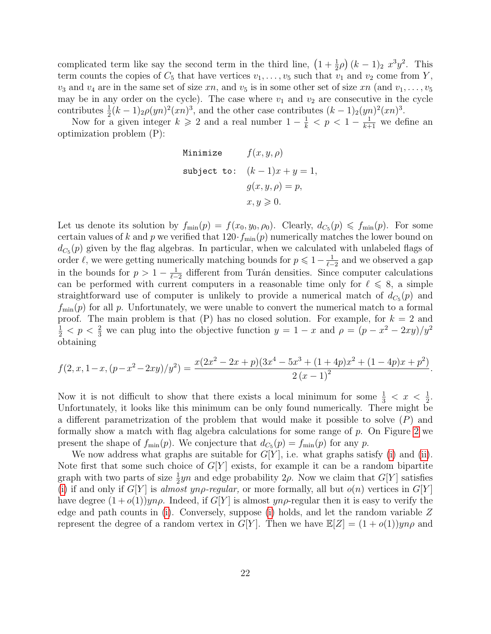complicated term like say the second term in the third line,  $(1 + \frac{1}{2}\rho)(k - 1)_2 x^3 y^2$ . This term counts the copies of  $C_5$  that have vertices  $v_1, \ldots, v_5$  such that  $v_1$  and  $v_2$  come from Y,  $v_3$  and  $v_4$  are in the same set of size xn, and  $v_5$  is in some other set of size xn (and  $v_1, \ldots, v_5$ ) may be in any order on the cycle). The case where  $v_1$  and  $v_2$  are consecutive in the cycle contributes  $\frac{1}{2}(k-1)_2 \rho (yn)^2(xn)^3$ , and the other case contributes  $(k-1)_2 (yn)^2(xn)^3$ .

Now for a given integer  $k \geqslant 2$  and a real number  $1 - \frac{1}{k} < p < 1 - \frac{1}{k+1}$  we define an optimization problem (P):

Minimize 
$$
f(x, y, \rho)
$$
  
\nsubject to:  $(k-1)x + y = 1$ ,  
\n $g(x, y, \rho) = p$ ,  
\n $x, y \ge 0$ .

Let us denote its solution by  $f_{\min}(p) = f(x_0, y_0, \rho_0)$ . Clearly,  $d_{C_5}(p) \leq f_{\min}(p)$ . For some certain values of k and p we verified that  $120 \cdot f_{\min}(p)$  numerically matches the lower bound on  $d_{C_5}(p)$  given by the flag algebras. In particular, when we calculated with unlabeled flags of order  $\ell$ , we were getting numerically matching bounds for  $p \leq 1-\frac{1}{\ell-1}$  $\frac{1}{\ell-2}$  and we observed a gap in the bounds for  $p > 1 - \frac{1}{p-1}$  $\frac{1}{\ell-2}$  different from Turán densities. Since computer calculations can be performed with current computers in a reasonable time only for  $\ell \leq 8$ , a simple straightforward use of computer is unlikely to provide a numerical match of  $d_{C_5}(p)$  and  $f_{\text{min}}(p)$  for all p. Unfortunately, we were unable to convert the numerical match to a formal proof. The main problem is that  $(P)$  has no closed solution. For example, for  $k = 2$  and  $\frac{1}{2}$  < p <  $\frac{2}{3}$  we can plug into the objective function  $y = 1 - x$  and  $\rho = (p - x^2 - 2xy)/y^2$ obtaining

$$
f(2, x, 1-x, (p-x^2-2xy)/y^2) = \frac{x(2x^2-2x+p)(3x^4-5x^3+(1+4p)x^2+(1-4p)x+p^2)}{2(x-1)^2}.
$$

Now it is not difficult to show that there exists a local minimum for some  $\frac{1}{3} < x < \frac{1}{2}$ . Unfortunately, it looks like this minimum can be only found numerically. There might be a different parametrization of the problem that would make it possible to solve (P) and formally show a match with flag algebra calculations for some range of p. On Figure [2](#page-22-4) we present the shape of  $f_{\min}(p)$ . We conjecture that  $d_{C_5}(p) = f_{\min}(p)$  for any p.

We now address what graphs are suitable for  $G[Y]$ , i.e. what graphs satisfy [\(i\)](#page-20-1) and [\(ii\)](#page-20-2). Note first that some such choice of  $G[Y]$  exists, for example it can be a random bipartite graph with two parts of size  $\frac{1}{2}yn$  and edge probability  $2\rho$ . Now we claim that  $G[Y]$  satisfies [\(i\)](#page-20-1) if and only if  $G[Y]$  is almost yn<sub>p</sub>-regular, or more formally, all but  $o(n)$  vertices in  $G[Y]$ have degree  $(1+o(1))yn\rho$ . Indeed, if  $G[Y]$  is almost  $yn\rho$ -regular then it is easy to verify the edge and path counts in [\(i\)](#page-20-1). Conversely, suppose [\(i\)](#page-20-1) holds, and let the random variable Z represent the degree of a random vertex in G[Y]. Then we have  $\mathbb{E}[Z] = (1 + o(1))yn\rho$  and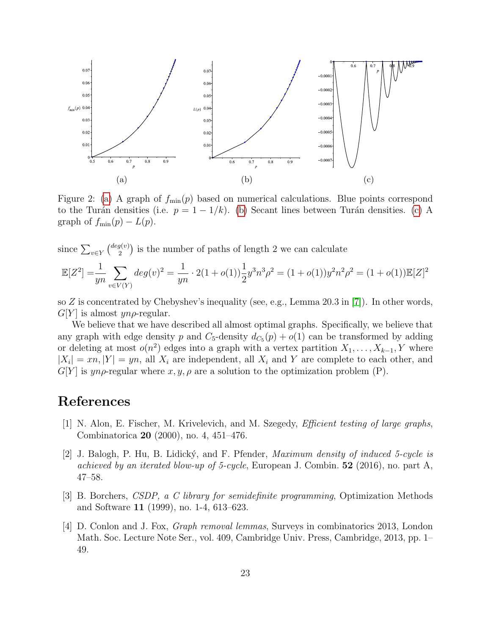<span id="page-22-4"></span>

Figure 2: [\(a\)](#page-22-4) A graph of  $f_{\text{min}}(p)$  based on numerical calculations. Blue points correspond to the Turán densities (i.e.  $p = 1 - 1/k$ ). [\(b\)](#page-22-4) Secant lines between Turán densities. [\(c\)](#page-22-4) A graph of  $f_{\min}(p) - L(p)$ .

since  $\sum_{v \in Y} \binom{deg(v)}{2}$  $\binom{q(v)}{2}$  is the number of paths of length 2 we can calculate

$$
\mathbb{E}[Z^2] = \frac{1}{yn} \sum_{v \in V(Y)} deg(v)^2 = \frac{1}{yn} \cdot 2(1 + o(1)) \frac{1}{2} y^3 n^3 \rho^2 = (1 + o(1)) y^2 n^2 \rho^2 = (1 + o(1)) \mathbb{E}[Z]^2
$$

so Z is concentrated by Chebyshev's inequality (see, e.g., Lemma 20.3 in  $|7|$ ). In other words,  $G[Y]$  is almost *yn* $\rho$ -regular.

We believe that we have described all almost optimal graphs. Specifically, we believe that any graph with edge density p and  $C_5$ -density  $d_{C_5}(p) + o(1)$  can be transformed by adding or deleting at most  $o(n^2)$  edges into a graph with a vertex partition  $X_1, \ldots, X_{k-1}, Y$  where  $|X_i| = xn, |Y| = yn$ , all  $X_i$  are independent, all  $X_i$  and Y are complete to each other, and  $G[Y]$  is yn $\rho$ -regular where  $x, y, \rho$  are a solution to the optimization problem (P).

## References

- <span id="page-22-2"></span>[1] N. Alon, E. Fischer, M. Krivelevich, and M. Szegedy, Efficient testing of large graphs, Combinatorica 20 (2000), no. 4, 451–476.
- <span id="page-22-0"></span>[2] J. Balogh, P. Hu, B. Lidick´y, and F. Pfender, Maximum density of induced 5-cycle is achieved by an iterated blow-up of 5-cycle, European J. Combin.  $52$  (2016), no. part A, 47–58.
- <span id="page-22-1"></span>[3] B. Borchers, CSDP, a C library for semidefinite programming, Optimization Methods and Software 11 (1999), no. 1-4, 613–623.
- <span id="page-22-3"></span>[4] D. Conlon and J. Fox, Graph removal lemmas, Surveys in combinatorics 2013, London Math. Soc. Lecture Note Ser., vol. 409, Cambridge Univ. Press, Cambridge, 2013, pp. 1– 49.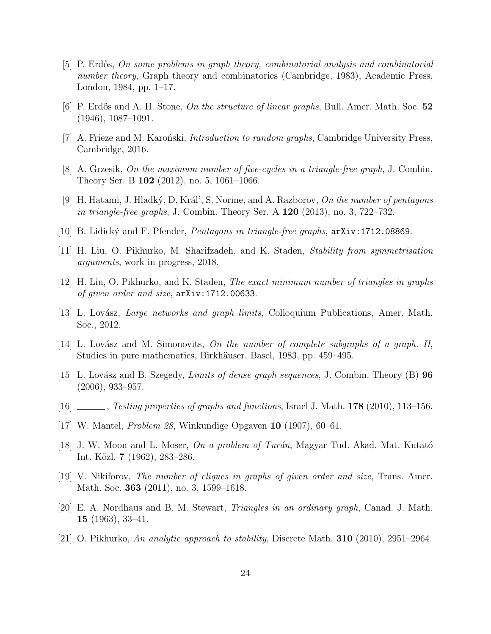- <span id="page-23-10"></span>[5] P. Erdős, On some problems in graph theory, combinatorial analysis and combinatorial number theory, Graph theory and combinatorics (Cambridge, 1983), Academic Press, London, 1984, pp. 1–17.
- <span id="page-23-1"></span>[6] P. Erdős and A. H. Stone, On the structure of linear graphs, Bull. Amer. Math. Soc. 52 (1946), 1087–1091.
- <span id="page-23-16"></span>[7] A. Frieze and M. Karonski, *Introduction to random graphs*, Cambridge University Press, Cambridge, 2016.
- <span id="page-23-7"></span>[8] A. Grzesik, On the maximum number of five-cycles in a triangle-free graph, J. Combin. Theory Ser. B 102 (2012), no. 5, 1061–1066.
- <span id="page-23-8"></span>[9] H. Hatami, J. Hladký, D. Král', S. Norine, and A. Razborov, On the number of pentagons in triangle-free graphs, J. Combin. Theory Ser. A  $120$  (2013), no. 3, 722–732.
- <span id="page-23-9"></span>[10] B. Lidick´y and F. Pfender, Pentagons in triangle-free graphs, arXiv:1712.08869.
- <span id="page-23-13"></span>[11] H. Liu, O. Pikhurko, M. Sharifzadeh, and K. Staden, Stability from symmetrisation arguments, work in progress, 2018.
- <span id="page-23-5"></span>[12] H. Liu, O. Pikhurko, and K. Staden, The exact minimum number of triangles in graphs of given order and size, arXiv:1712.00633.
- <span id="page-23-11"></span>[13] L. Lovász, *Large networks and graph limits*, Colloquium Publications, Amer. Math. Soc., 2012.
- <span id="page-23-4"></span>[14] L. Lovász and M. Simonovits, On the number of complete subgraphs of a graph. II, Studies in pure mathematics, Birkhäuser, Basel, 1983, pp. 459–495.
- <span id="page-23-12"></span>[15] L. Lovász and B. Szegedy, *Limits of dense graph sequences*, J. Combin. Theory  $(B)$  96 (2006), 933–957.
- <span id="page-23-15"></span>[16] , Testing properties of graphs and functions, Israel J. Math.  $178$  (2010), 113–156.
- <span id="page-23-0"></span>[17] W. Mantel, Problem 28, Winkundige Opgaven 10 (1907), 60–61.
- <span id="page-23-2"></span>[18] J. W. Moon and L. Moser, *On a problem of Turán*, Magyar Tud. Akad. Mat. Kutató Int. Közl. **7** (1962), 283–286.
- <span id="page-23-6"></span>[19] V. Nikiforov, The number of cliques in graphs of given order and size, Trans. Amer. Math. Soc. **363** (2011), no. 3, 1599–1618.
- <span id="page-23-3"></span>[20] E. A. Nordhaus and B. M. Stewart, Triangles in an ordinary graph, Canad. J. Math. 15 (1963), 33–41.
- <span id="page-23-14"></span>[21] O. Pikhurko, An analytic approach to stability, Discrete Math. **310** (2010), 2951-2964.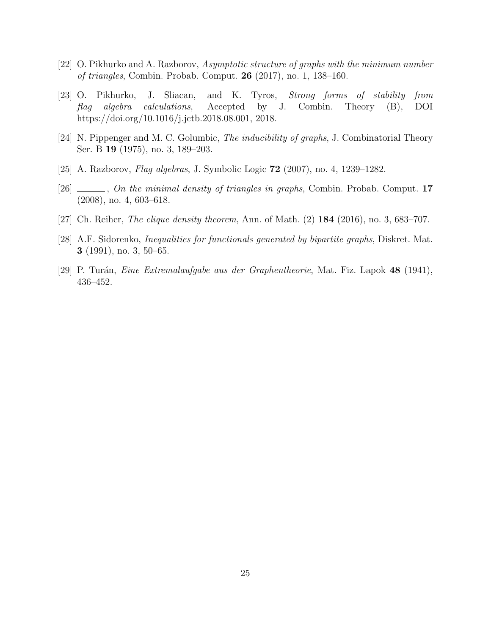- <span id="page-24-4"></span>[22] O. Pikhurko and A. Razborov, Asymptotic structure of graphs with the minimum number of triangles, Combin. Probab. Comput. 26 (2017), no. 1, 138–160.
- <span id="page-24-1"></span>[23] O. Pikhurko, J. Sliacan, and K. Tyros, Strong forms of stability from flag algebra calculations, Accepted by J. Combin. Theory (B), DOI https://doi.org/10.1016/j.jctb.2018.08.001, 2018.
- <span id="page-24-7"></span>[24] N. Pippenger and M. C. Golumbic, The inducibility of graphs, J. Combinatorial Theory Ser. B 19 (1975), no. 3, 189–203.
- <span id="page-24-2"></span>[25] A. Razborov, Flag algebras, J. Symbolic Logic 72 (2007), no. 4, 1239–1282.
- <span id="page-24-3"></span>[26]  $\_\_\_\_\_$ , On the minimal density of triangles in graphs, Combin. Probab. Comput. 17 (2008), no. 4, 603–618.
- <span id="page-24-5"></span>[27] Ch. Reiher, *The clique density theorem*, Ann. of Math. (2) **184** (2016), no. 3, 683–707.
- <span id="page-24-6"></span>[28] A.F. Sidorenko, Inequalities for functionals generated by bipartite graphs, Diskret. Mat. 3 (1991), no. 3, 50–65.
- <span id="page-24-0"></span>[29] P. Turán, *Eine Extremalaufgabe aus der Graphentheorie*, Mat. Fiz. Lapok 48 (1941), 436–452.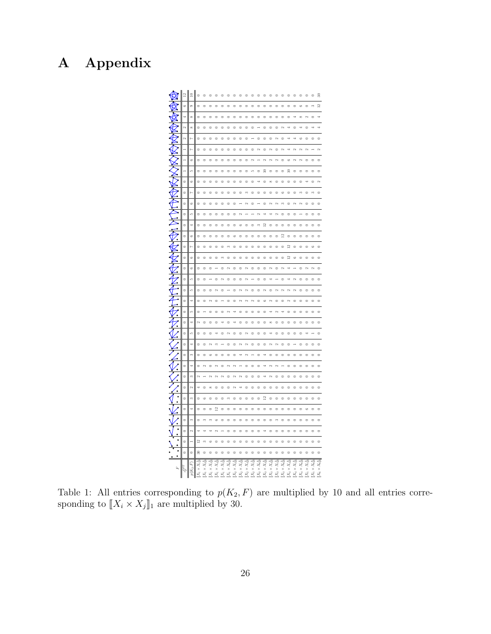# <span id="page-25-0"></span>A Appendix



Table 1: All entries corresponding to  $p(K_2, F)$  are multiplied by 10 and all entries corresponding to  $[[X_i \times X_j]]_1$  are multiplied by 30.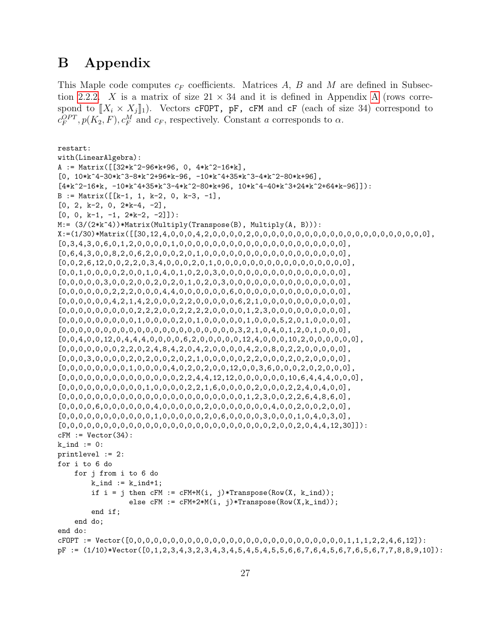# <span id="page-26-0"></span>B Appendix

This Maple code computes  $c_F$  coefficients. Matrices A, B and M are defined in Subsec-tion [2.2.2.](#page-5-3) X is a matrix of size  $21 \times 34$  and it is defined in [A](#page-25-0)ppendix A (rows correspond to  $[X_i \times X_j]_1$ . Vectors cFOPT, pF, cFM and cF (each of size 34) correspond to  $c_F^{OPT}, p(K_2, F), c_F^M$  and  $c_F$ , respectively. Constant a corresponds to  $\alpha$ .

```
restart:
with(LinearAlgebra):
A := Matrix([32*k^2-96*k+96, 0, 4*k^2-16*k],[0, 10*k^4-30*k^3-8*k^2+96*k-96, -10*k^4+35*k^3-4*k^2-80*k+96],[4*k^2-16*k, -10*k^2+35*k^3-4*k^2-80*k+96, 10*k^4-40*k^3+24*k^2+64*k-96]]):B := Matrix([ [k-1, 1, k-2, 0, k-3, -1],
[0, 2, k-2, 0, 2*k-4, -2],[0, 0, k-1, -1, 2*k-2, -2]]:
M:= (3/(2*k^4))*Matrix(Multiply(Transpose(B), Multiply(A, B))):X:=(1/30)*Matrix([[30,12,4,0,0,0,4,2,0,0,0,0,2,0,0,0,0,0,0,0,0,0,0,0,0,0,0,0,0,0,0,0,0,0],
[0,3,4,3,0,6,0,1,2,0,0,0,0,1,0,0,0,0,0,0,0,0,0,0,0,0,0,0,0,0,0,0,0,0],
[0,6,4,3,0,0,8,2,0,6,2,0,0,0,2,0,1,0,0,0,0,0,0,0,0,0,0,0,0,0,0,0,0,0],
[0,0,2,6,12,0,0,2,2,0,3,4,0,0,0,2,0,1,0,0,0,0,0,0,0,0,0,0,0,0,0,0,0,0],
[0,0,1,0,0,0,0,2,0,0,1,0,4,0,1,0,2,0,3,0,0,0,0,0,0,0,0,0,0,0,0,0,0,0],[0,0,0,0,0,3,0,0,2,0,0,2,0,2,0,1,0,2,0,3,0,0,0,0,0,0,0,0,0,0,0,0,0,0],[0,0,0,0,0,0,2,2,2,0,0,0,4,4,0,0,0,0,0,0,6,0,0,0,0,0,0,0,0,0,0,0,0,0],
[0,0,0,0,0,0,4,2,1,4,2,0,0,0,2,2,0,0,0,0,6,2,1,0,0,0,0,0,0,0,0,0,0],[0,0,0,0,0,0,0,0,0,2,2,2,0,0,2,2,2,2,0,0,0,0,1,2,3,0,0,0,0,0,0,0,0,0],[0,0,0,0,0,0,0,0,0,1,0,0,0,0,2,0,1,0,0,0,0,0,1,0,0,0,5,2,0,1,0,0,0,0],
[0,0,0,0,0,0,0,0,0,0,0,0,0,0,0,0,0,0,0,0,0,3,2,1,0,4,0,1,2,0,1,0,0,0],
[0,0,4,0,0,12,0,4,4,4,0,0,0,0,6,2,0,0,0,0,12,4,0,0,0,10,2,0,0,0,0,0,0],[0,0,0,0,0,0,0,2,2,0,2,4,8,4,2,0,4,2,0,0,0,4,2,0,8,0,2,2,0,0,0,0,0],[0,0,0,3,0,0,0,0,2,0,2,0,0,2,0,2,1,0,0,0,0,0,2,2,0,0,0,2,0,2,0,0,0,0],
[0,0,0,0,0,0,0,0,0,1,0,0,0,0,4,0,2,0,2,0,0,12,0,0,3,6,0,0,0,2,0,2,0,0,0],[0,0,0,0,0,0,0,0,0,0,0,0,0,0,0,2,2,4,4,12,12,0,0,0,0,0,0,0,0,6,4,4,4,0,0,0],[0,0,0,0,0,0,0,0,0,0,0,1,0,0,0,0,2,2,1,6,0,0,0,0,2,0,0,0,2,2,4,0,4,0,0],[0,0,0,0,0,0,0,0,0,0,0,0,0,0,0,0,0,0,0,0,0,0,1,2,3,0,0,2,2,6,4,8,6,0],
[0,0,0,0,6,0,0,0,0,0,0,4,0,0,0,0,0,2,0,0,0,0,0,0,0,4,0,0,2,0,0,2,0,0],
[0,0,0,0,0,0,0,0,0,0,0,0,1,0,0,0,0,0,2,0,6,0,0,0,0,3,0,0,0,1,0,4,0,3,0],[0,0,0,0,0,0,0,0,0,0,0,0,0,0,0,0,0,0,0,0,0,0,0,0,0,2,0,0,2,0,4,4,12,30]]):
cFM := Vector(34):
k\_ind := 0:
printlevel := 2:
for i to 6 do
   for j from i to 6 do
       k\_ind := k\_ind+1;if i = j then cFM := cFM+M(i, j)*Transpose(Row(X, k_index));
                 else cFM := cFM+2*M(i, j)*Transpose(Row(X, k\_ind));end if;
   end do;
end do:
cFOPT := Vector([0,0,0,0,0,0,0,0,0,0,0,0,0,0,0,0,0,0,0,0,0,0,0,0,0,0,1,1,1,2,2,4,6,12]):
pF := (1/10)*Vector([0,1,2,3,4,3,2,3,4,3,4,5,4,5,4,5,5,6,6,7,6,4,5,6,7,6,5,6,7,7,8,8,9,10]):
```